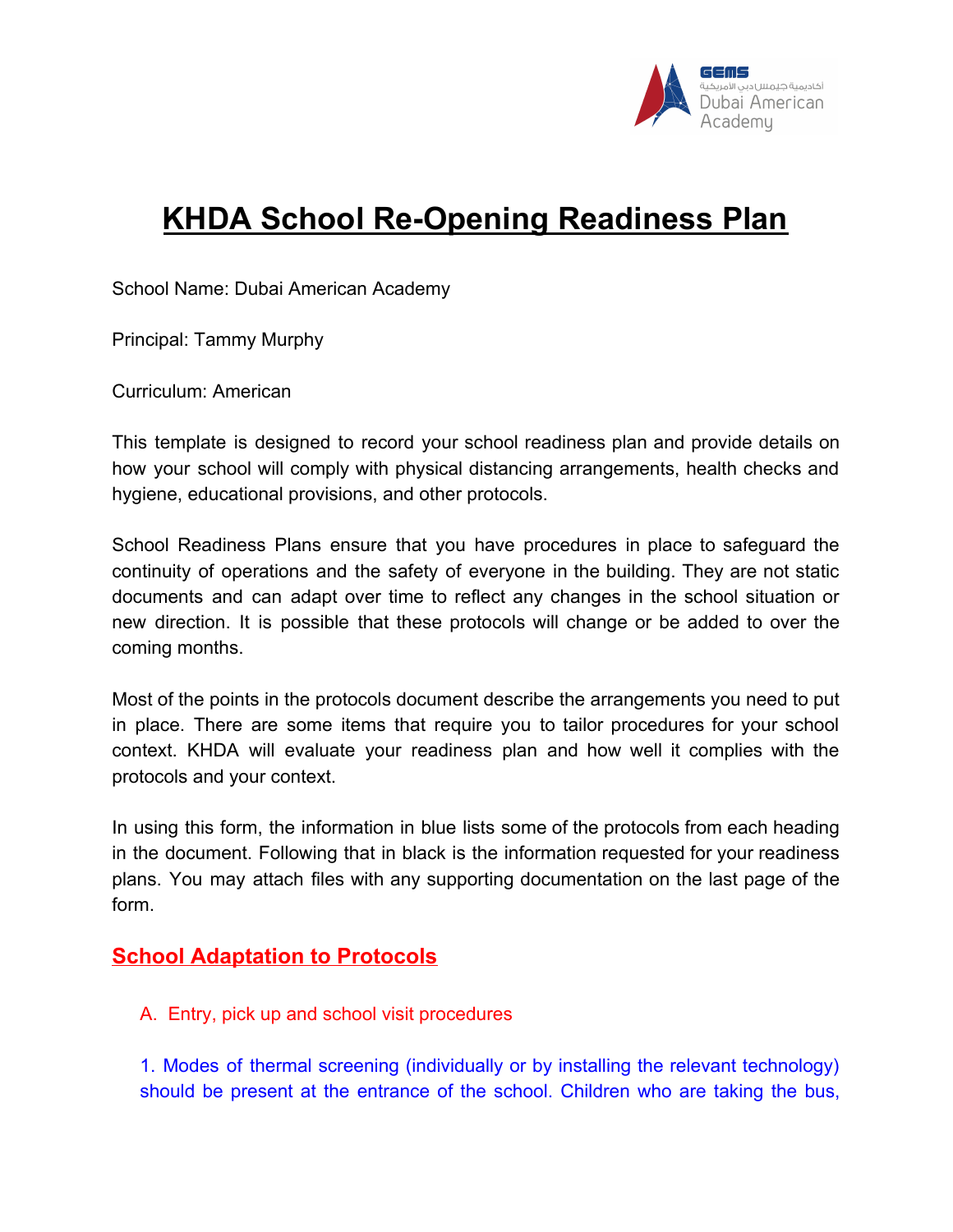

# **KHDA School Re-Opening Readiness Plan**

School Name: Dubai American Academy

Principal: Tammy Murphy

Curriculum: American

This template is designed to record your school readiness plan and provide details on how your school will comply with physical distancing arrangements, health checks and hygiene, educational provisions, and other protocols.

School Readiness Plans ensure that you have procedures in place to safeguard the continuity of operations and the safety of everyone in the building. They are not static documents and can adapt over time to reflect any changes in the school situation or new direction. It is possible that these protocols will change or be added to over the coming months.

Most of the points in the protocols document describe the arrangements you need to put in place. There are some items that require you to tailor procedures for your school context. KHDA will evaluate your readiness plan and how well it complies with the protocols and your context.

In using this form, the information in blue lists some of the protocols from each heading in the document. Following that in black is the information requested for your readiness plans. You may attach files with any supporting documentation on the last page of the form.

# **School Adaptation to Protocols**

A. Entry, pick up and school visit procedures

1. Modes of thermal screening (individually or by installing the relevant technology) should be present at the entrance of the school. Children who are taking the bus,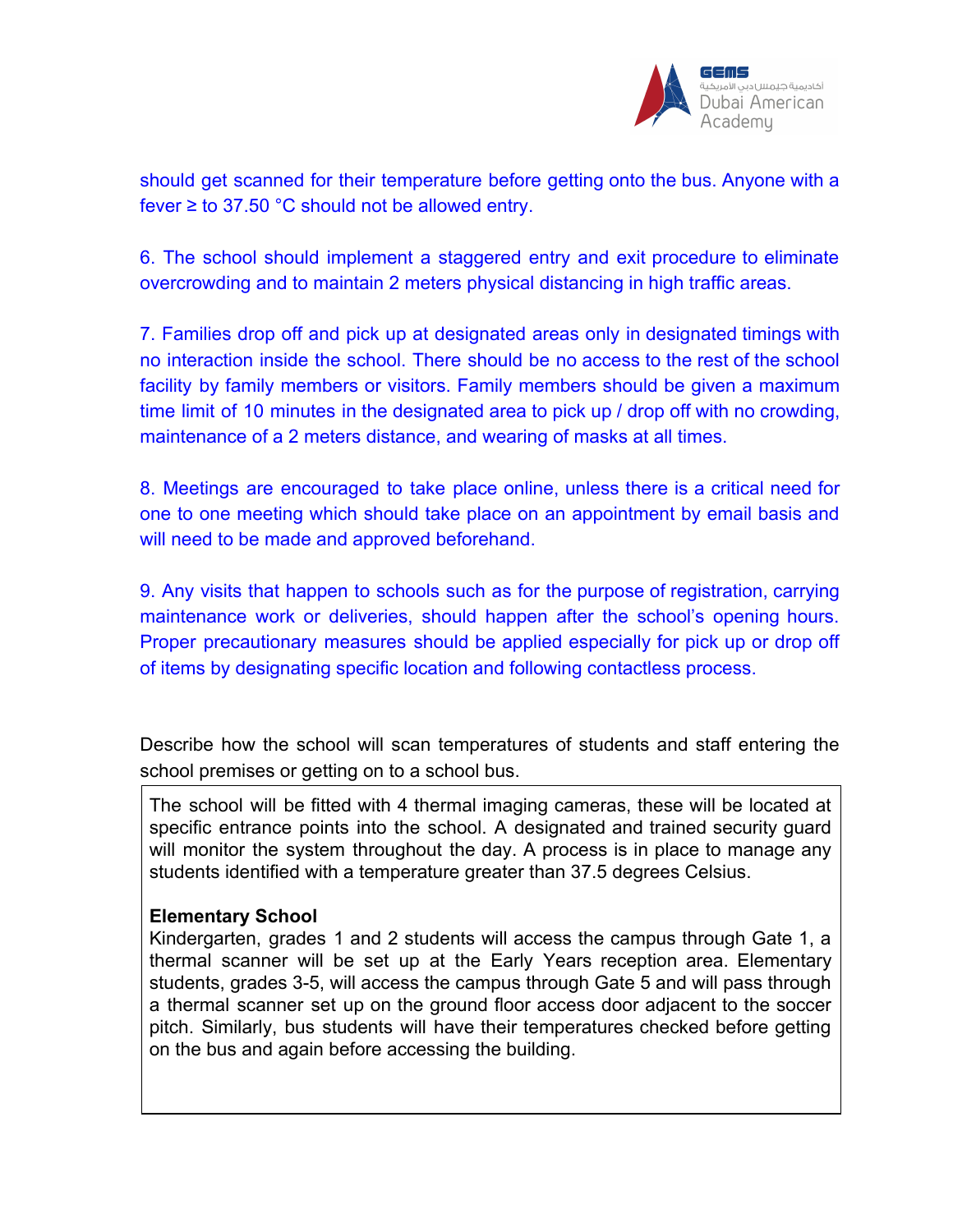

should get scanned for their temperature before getting onto the bus. Anyone with a fever  $\ge$  to 37.50 °C should not be allowed entry.

6. The school should implement a staggered entry and exit procedure to eliminate overcrowding and to maintain 2 meters physical distancing in high traffic areas.

7. Families drop off and pick up at designated areas only in designated timings with no interaction inside the school. There should be no access to the rest of the school facility by family members or visitors. Family members should be given a maximum time limit of 10 minutes in the designated area to pick up / drop off with no crowding, maintenance of a 2 meters distance, and wearing of masks at all times.

8. Meetings are encouraged to take place online, unless there is a critical need for one to one meeting which should take place on an appointment by email basis and will need to be made and approved beforehand.

9. Any visits that happen to schools such as for the purpose of registration, carrying maintenance work or deliveries, should happen after the school's opening hours. Proper precautionary measures should be applied especially for pick up or drop off of items by designating specific location and following contactless process.

Describe how the school will scan temperatures of students and staff entering the school premises or getting on to a school bus.

The school will be fitted with 4 thermal imaging cameras, these will be located at specific entrance points into the school. A designated and trained security guard will monitor the system throughout the day. A process is in place to manage any students identified with a temperature greater than 37.5 degrees Celsius.

#### **Elementary School**

Kindergarten, grades 1 and 2 students will access the campus through Gate 1, a thermal scanner will be set up at the Early Years reception area. Elementary students, grades 3-5, will access the campus through Gate 5 and will pass through a thermal scanner set up on the ground floor access door adjacent to the soccer pitch. Similarly, bus students will have their temperatures checked before getting on the bus and again before accessing the building.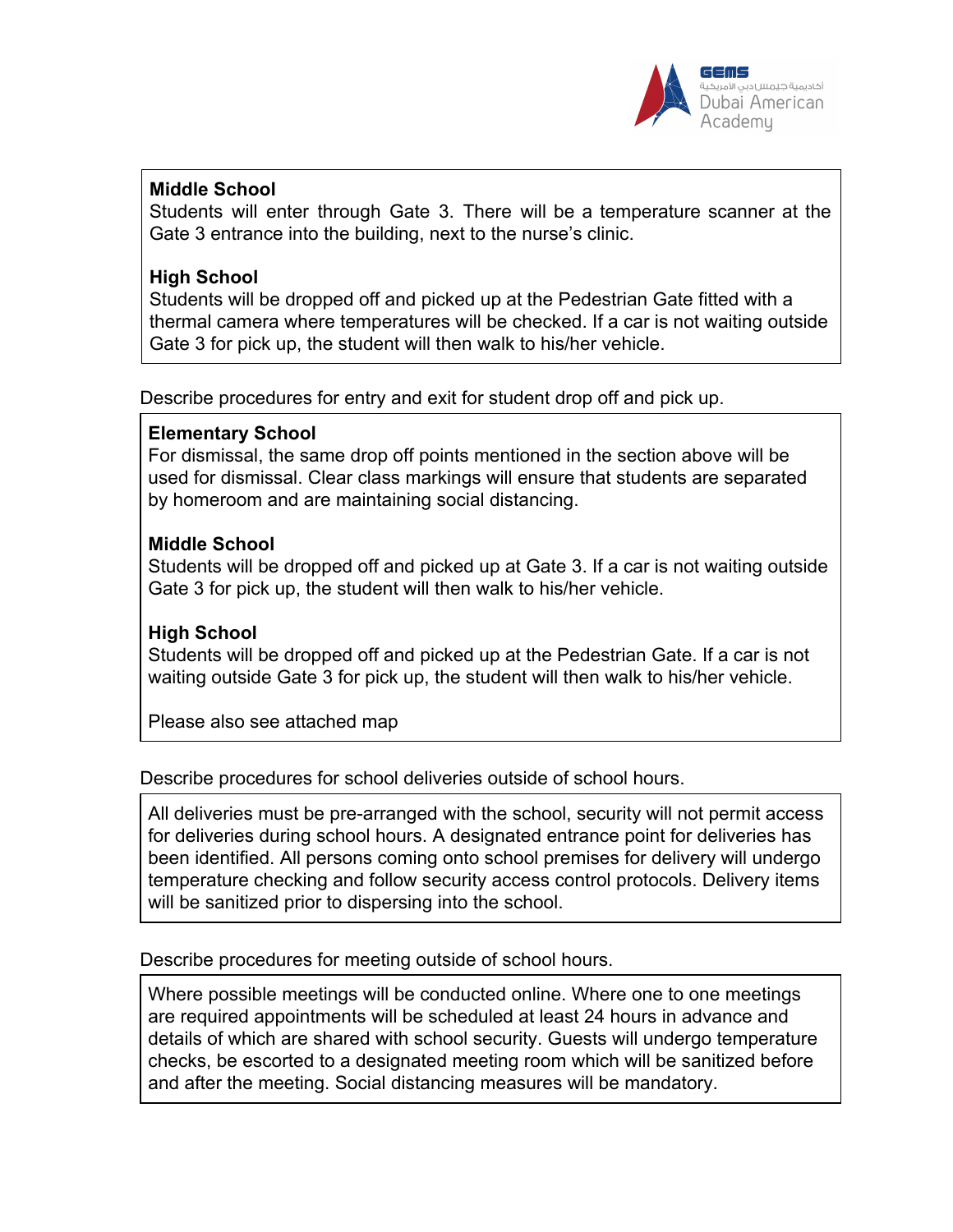

## **Middle School**

Students will enter through Gate 3. There will be a temperature scanner at the Gate 3 entrance into the building, next to the nurse's clinic.

### **High School**

Students will be dropped off and picked up at the Pedestrian Gate fitted with a thermal camera where temperatures will be checked. If a car is not waiting outside Gate 3 for pick up, the student will then walk to his/her vehicle.

Describe procedures for entry and exit for student drop off and pick up.

#### **Elementary School**

For dismissal, the same drop off points mentioned in the section above will be used for dismissal. Clear class markings will ensure that students are separated by homeroom and are maintaining social distancing.

## **Middle School**

Students will be dropped off and picked up at Gate 3. If a car is not waiting outside Gate 3 for pick up, the student will then walk to his/her vehicle.

# **High School**

Students will be dropped off and picked up at the Pedestrian Gate. If a car is not waiting outside Gate 3 for pick up, the student will then walk to his/her vehicle.

Please also see attached map

#### Describe procedures for school deliveries outside of school hours.

All deliveries must be pre-arranged with the school, security will not permit access for deliveries during school hours. A designated entrance point for deliveries has been identified. All persons coming onto school premises for delivery will undergo temperature checking and follow security access control protocols. Delivery items will be sanitized prior to dispersing into the school.

Describe procedures for meeting outside of school hours.

Where possible meetings will be conducted online. Where one to one meetings are required appointments will be scheduled at least 24 hours in advance and details of which are shared with school security. Guests will undergo temperature checks, be escorted to a designated meeting room which will be sanitized before and after the meeting. Social distancing measures will be mandatory.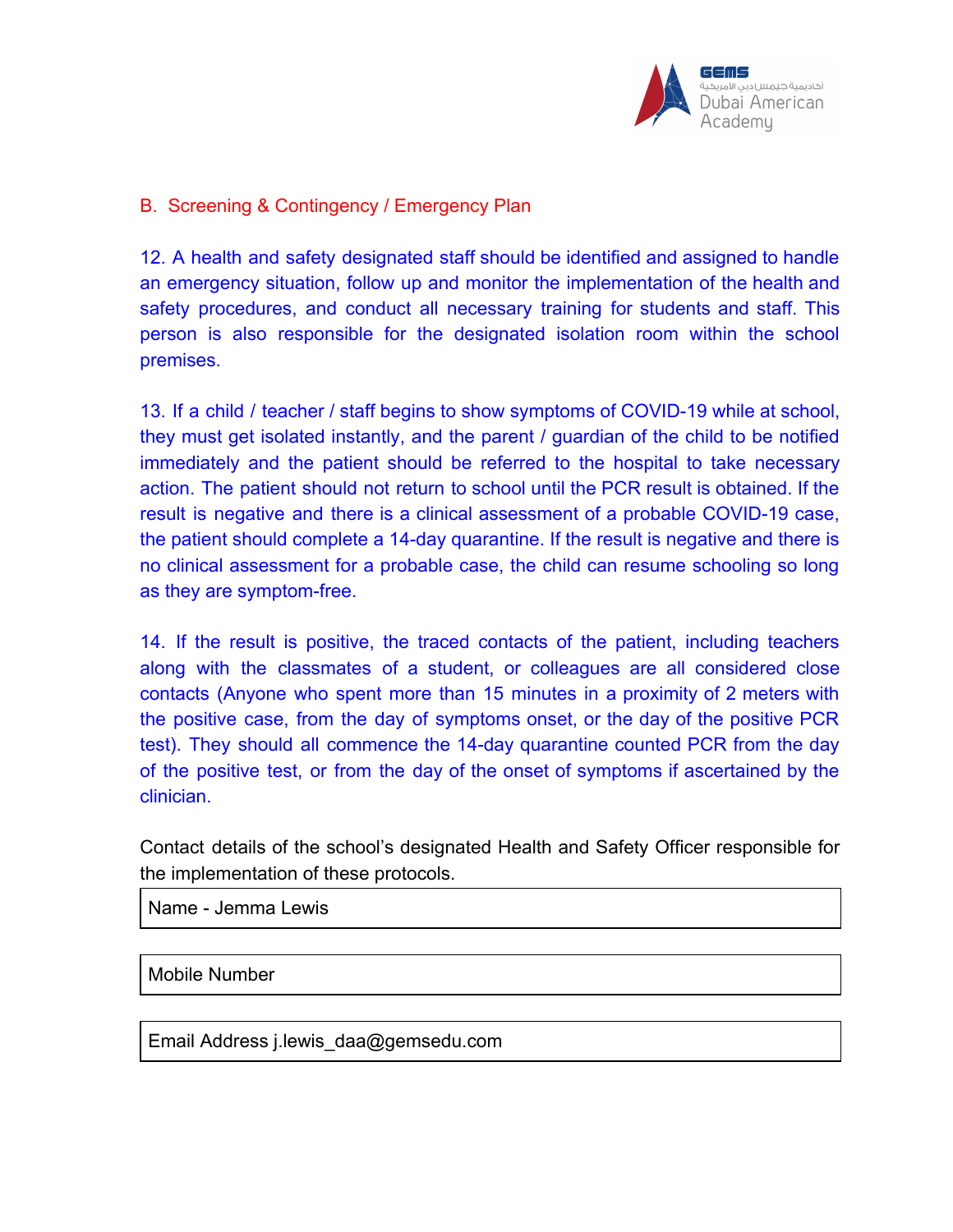

### B. Screening & Contingency / Emergency Plan

12. A health and safety designated staff should be identified and assigned to handle an emergency situation, follow up and monitor the implementation of the health and safety procedures, and conduct all necessary training for students and staff. This person is also responsible for the designated isolation room within the school premises.

13. If a child / teacher / staff begins to show symptoms of COVID-19 while at school, they must get isolated instantly, and the parent / guardian of the child to be notified immediately and the patient should be referred to the hospital to take necessary action. The patient should not return to school until the PCR result is obtained. If the result is negative and there is a clinical assessment of a probable COVID-19 case, the patient should complete a 14-day quarantine. If the result is negative and there is no clinical assessment for a probable case, the child can resume schooling so long as they are symptom-free.

14. If the result is positive, the traced contacts of the patient, including teachers along with the classmates of a student, or colleagues are all considered close contacts (Anyone who spent more than 15 minutes in a proximity of 2 meters with the positive case, from the day of symptoms onset, or the day of the positive PCR test). They should all commence the 14-day quarantine counted PCR from the day of the positive test, or from the day of the onset of symptoms if ascertained by the clinician.

Contact details of the school's designated Health and Safety Officer responsible for the implementation of these protocols.

Name - Jemma Lewis

Mobile Number

Email Address j.lewis\_daa@gemsedu.com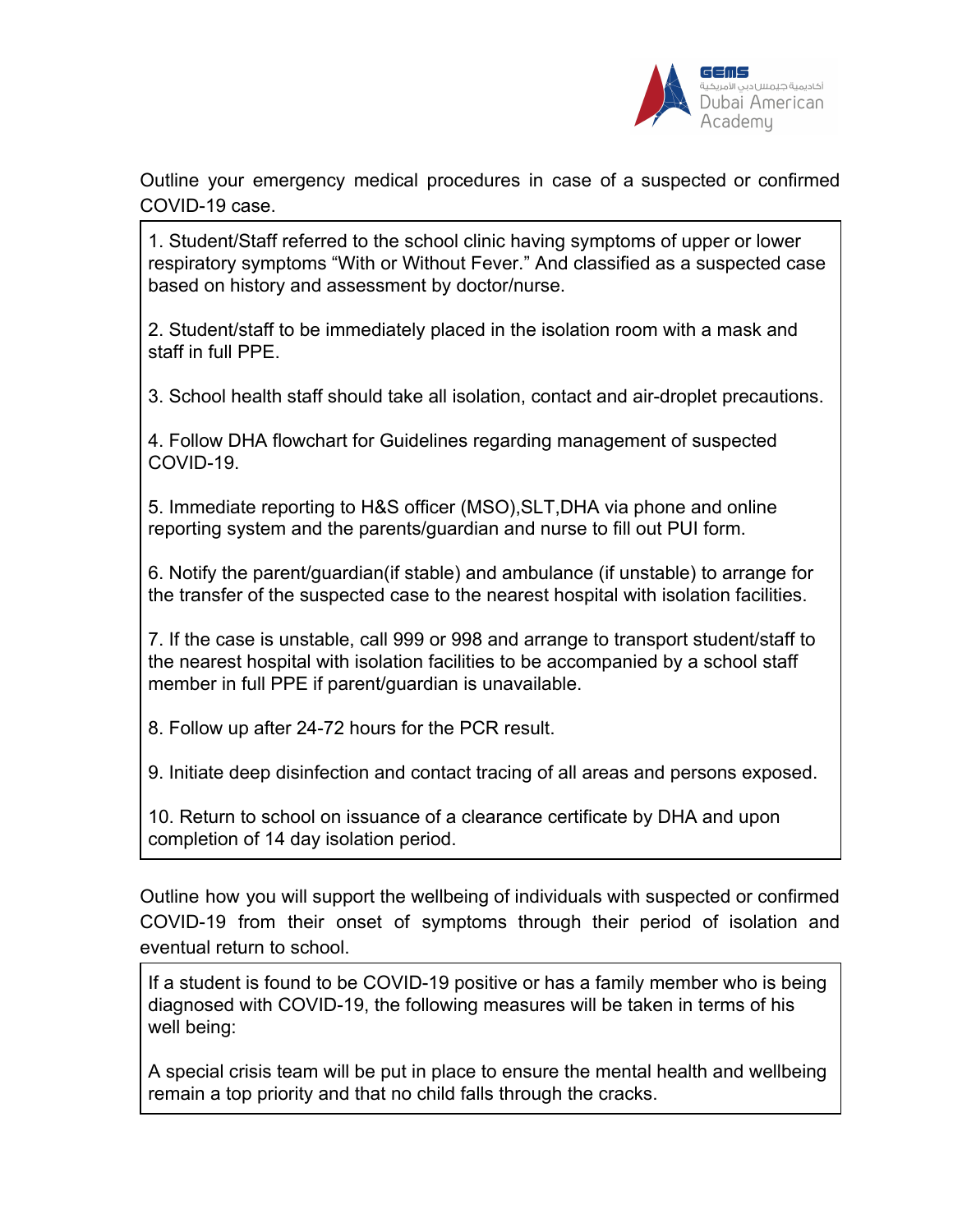

Outline your emergency medical procedures in case of a suspected or confirmed COVID-19 case.

1. Student/Staff referred to the school clinic having symptoms of upper or lower respiratory symptoms "With or Without Fever." And classified as a suspected case based on history and assessment by doctor/nurse.

2. Student/staff to be immediately placed in the isolation room with a mask and staff in full PPE.

3. School health staff should take all isolation, contact and air-droplet precautions.

4. Follow DHA flowchart for Guidelines regarding management of suspected COVID-19.

5. Immediate reporting to H&S officer (MSO),SLT,DHA via phone and online reporting system and the parents/guardian and nurse to fill out PUI form.

6. Notify the parent/guardian(if stable) and ambulance (if unstable) to arrange for the transfer of the suspected case to the nearest hospital with isolation facilities.

7. If the case is unstable, call 999 or 998 and arrange to transport student/staff to the nearest hospital with isolation facilities to be accompanied by a school staff member in full PPE if parent/guardian is unavailable.

8. Follow up after 24-72 hours for the PCR result.

9. Initiate deep disinfection and contact tracing of all areas and persons exposed.

10. Return to school on issuance of a clearance certificate by DHA and upon completion of 14 day isolation period.

Outline how you will support the wellbeing of individuals with suspected or confirmed COVID-19 from their onset of symptoms through their period of isolation and eventual return to school.

If a student is found to be COVID-19 positive or has a family member who is being diagnosed with COVID-19, the following measures will be taken in terms of his well being:

A special crisis team will be put in place to ensure the mental health and wellbeing remain a top priority and that no child falls through the cracks.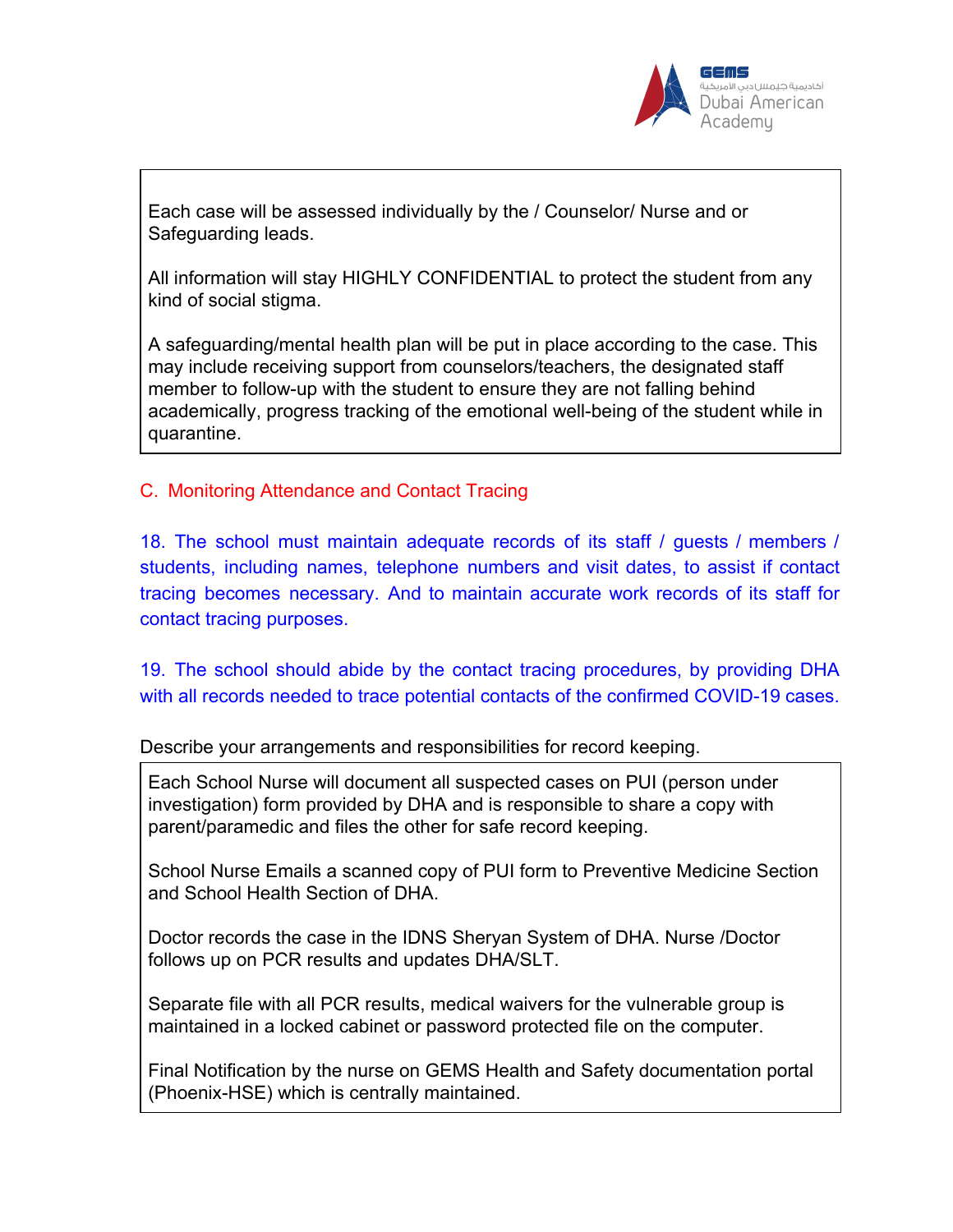

Each case will be assessed individually by the / Counselor/ Nurse and or Safeguarding leads.

All information will stay HIGHLY CONFIDENTIAL to protect the student from any kind of social stigma.

A safeguarding/mental health plan will be put in place according to the case. This may include receiving support from counselors/teachers, the designated staff member to follow-up with the student to ensure they are not falling behind academically, progress tracking of the emotional well-being of the student while in quarantine.

C. Monitoring Attendance and Contact Tracing

18. The school must maintain adequate records of its staff / guests / members / students, including names, telephone numbers and visit dates, to assist if contact tracing becomes necessary. And to maintain accurate work records of its staff for contact tracing purposes.

19. The school should abide by the contact tracing procedures, by providing DHA with all records needed to trace potential contacts of the confirmed COVID-19 cases.

Describe your arrangements and responsibilities for record keeping.

Each School Nurse will document all suspected cases on PUI (person under investigation) form provided by DHA and is responsible to share a copy with parent/paramedic and files the other for safe record keeping.

School Nurse Emails a scanned copy of PUI form to Preventive Medicine Section and School Health Section of DHA.

Doctor records the case in the IDNS Sheryan System of DHA. Nurse /Doctor follows up on PCR results and updates DHA/SLT.

Separate file with all PCR results, medical waivers for the vulnerable group is maintained in a locked cabinet or password protected file on the computer.

Final Notification by the nurse on GEMS Health and Safety documentation portal (Phoenix-HSE) which is centrally maintained.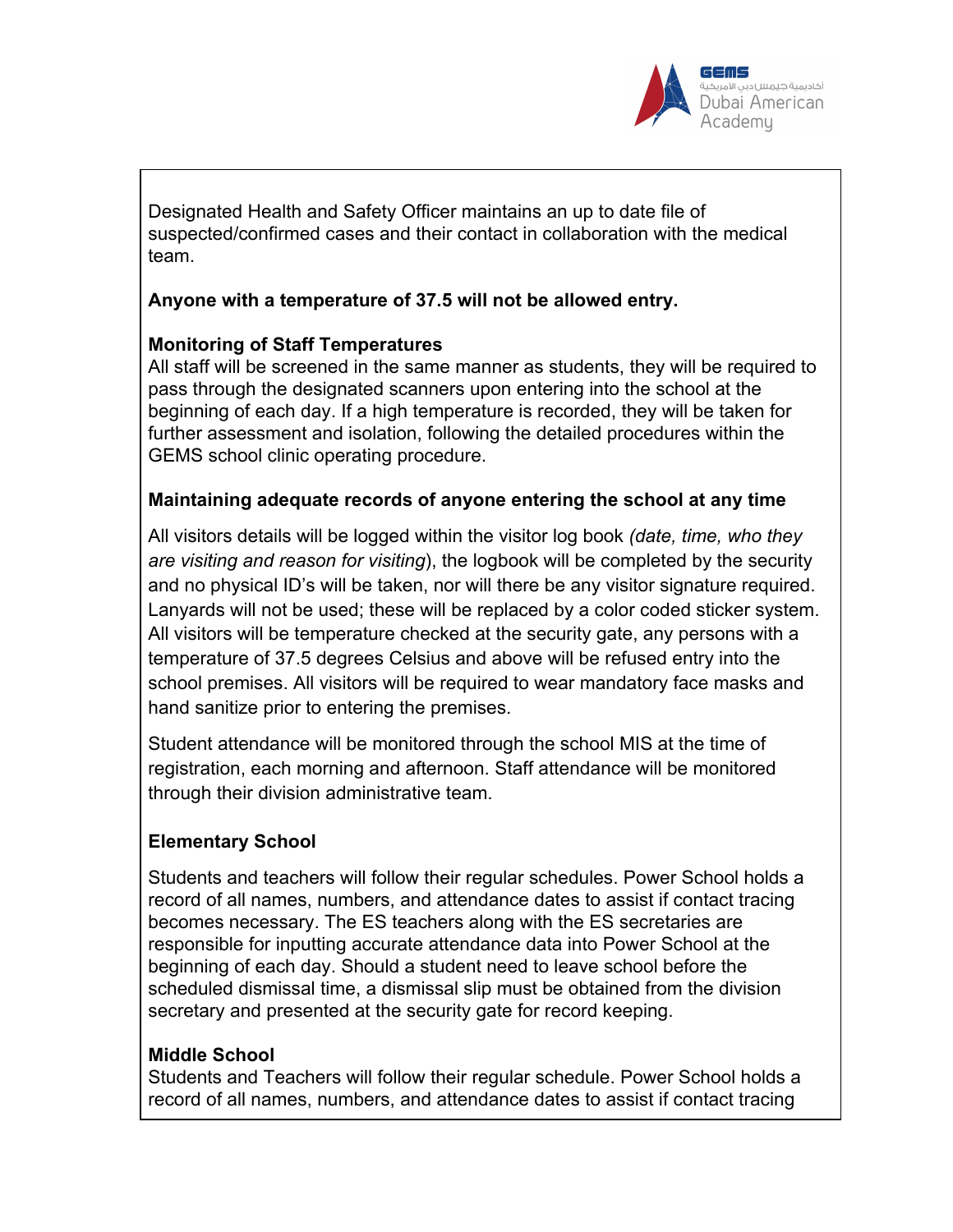

Designated Health and Safety Officer maintains an up to date file of suspected/confirmed cases and their contact in collaboration with the medical team.

## **Anyone with a temperature of 37.5 will not be allowed entry.**

## **Monitoring of Staff Temperatures**

All staff will be screened in the same manner as students, they will be required to pass through the designated scanners upon entering into the school at the beginning of each day. If a high temperature is recorded, they will be taken for further assessment and isolation, following the detailed procedures within the GEMS school clinic operating procedure.

## **Maintaining adequate records of anyone entering the school at any time**

All visitors details will be logged within the visitor log book *(date, time, who they are visiting and reason for visiting*), the logbook will be completed by the security and no physical ID's will be taken, nor will there be any visitor signature required. Lanyards will not be used; these will be replaced by a color coded sticker system. All visitors will be temperature checked at the security gate, any persons with a temperature of 37.5 degrees Celsius and above will be refused entry into the school premises. All visitors will be required to wear mandatory face masks and hand sanitize prior to entering the premises.

Student attendance will be monitored through the school MIS at the time of registration, each morning and afternoon. Staff attendance will be monitored through their division administrative team.

# **Elementary School**

Students and teachers will follow their regular schedules. Power School holds a record of all names, numbers, and attendance dates to assist if contact tracing becomes necessary. The ES teachers along with the ES secretaries are responsible for inputting accurate attendance data into Power School at the beginning of each day. Should a student need to leave school before the scheduled dismissal time, a dismissal slip must be obtained from the division secretary and presented at the security gate for record keeping.

#### **Middle School**

Students and Teachers will follow their regular schedule. Power School holds a record of all names, numbers, and attendance dates to assist if contact tracing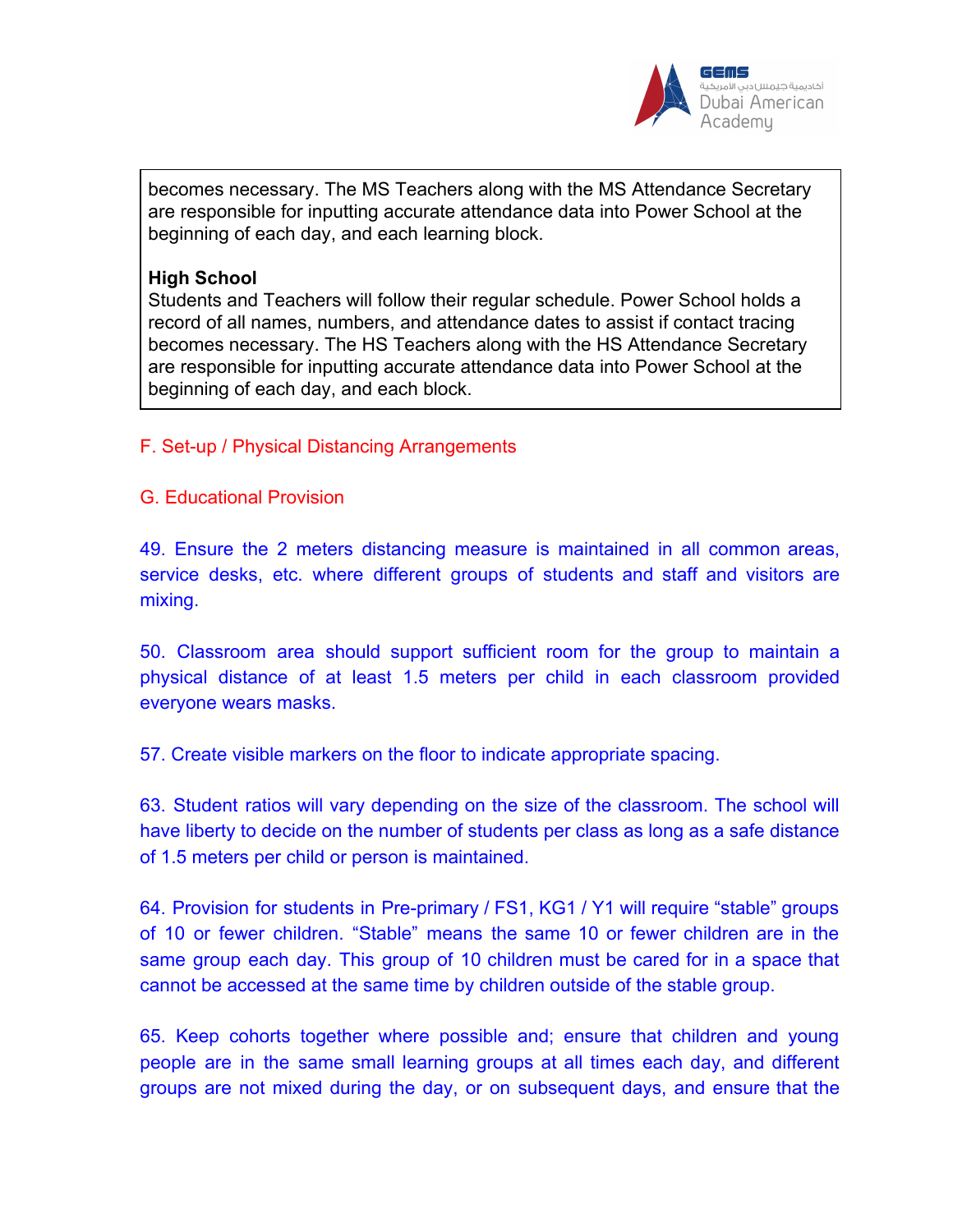

becomes necessary. The MS Teachers along with the MS Attendance Secretary are responsible for inputting accurate attendance data into Power School at the beginning of each day, and each learning block.

#### **High School**

Students and Teachers will follow their regular schedule. Power School holds a record of all names, numbers, and attendance dates to assist if contact tracing becomes necessary. The HS Teachers along with the HS Attendance Secretary are responsible for inputting accurate attendance data into Power School at the beginning of each day, and each block.

# F. Set-up / Physical Distancing Arrangements

G. Educational Provision

49. Ensure the 2 meters distancing measure is maintained in all common areas, service desks, etc. where different groups of students and staff and visitors are mixing.

50. Classroom area should support sufficient room for the group to maintain a physical distance of at least 1.5 meters per child in each classroom provided everyone wears masks.

57. Create visible markers on the floor to indicate appropriate spacing.

63. Student ratios will vary depending on the size of the classroom. The school will have liberty to decide on the number of students per class as long as a safe distance of 1.5 meters per child or person is maintained.

64. Provision for students in Pre-primary / FS1, KG1 / Y1 will require "stable" groups of 10 or fewer children. "Stable" means the same 10 or fewer children are in the same group each day. This group of 10 children must be cared for in a space that cannot be accessed at the same time by children outside of the stable group.

65. Keep cohorts together where possible and; ensure that children and young people are in the same small learning groups at all times each day, and different groups are not mixed during the day, or on subsequent days, and ensure that the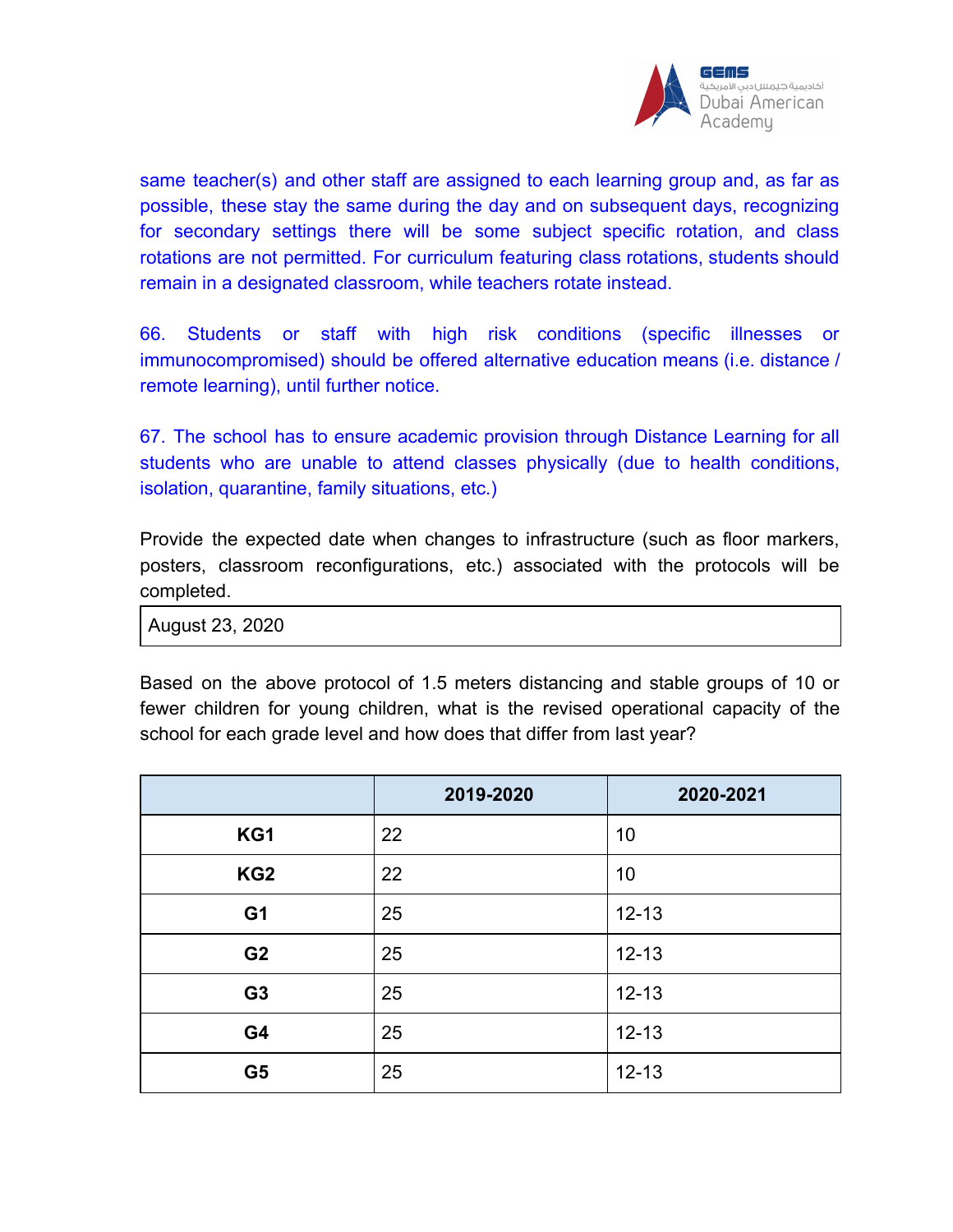

same teacher(s) and other staff are assigned to each learning group and, as far as possible, these stay the same during the day and on subsequent days, recognizing for secondary settings there will be some subject specific rotation, and class rotations are not permitted. For curriculum featuring class rotations, students should remain in a designated classroom, while teachers rotate instead.

66. Students or staff with high risk conditions (specific illnesses or immunocompromised) should be offered alternative education means (i.e. distance / remote learning), until further notice.

67. The school has to ensure academic provision through Distance Learning for all students who are unable to attend classes physically (due to health conditions, isolation, quarantine, family situations, etc.)

Provide the expected date when changes to infrastructure (such as floor markers, posters, classroom reconfigurations, etc.) associated with the protocols will be completed.

August 23, 2020

Based on the above protocol of 1.5 meters distancing and stable groups of 10 or fewer children for young children, what is the revised operational capacity of the school for each grade level and how does that differ from last year?

|                 | 2019-2020 | 2020-2021 |
|-----------------|-----------|-----------|
| KG1             | 22        | 10        |
| KG <sub>2</sub> | 22        | 10        |
| G <sub>1</sub>  | 25        | $12 - 13$ |
| G <sub>2</sub>  | 25        | $12 - 13$ |
| G <sub>3</sub>  | 25        | $12 - 13$ |
| G4              | 25        | $12 - 13$ |
| G <sub>5</sub>  | 25        | $12 - 13$ |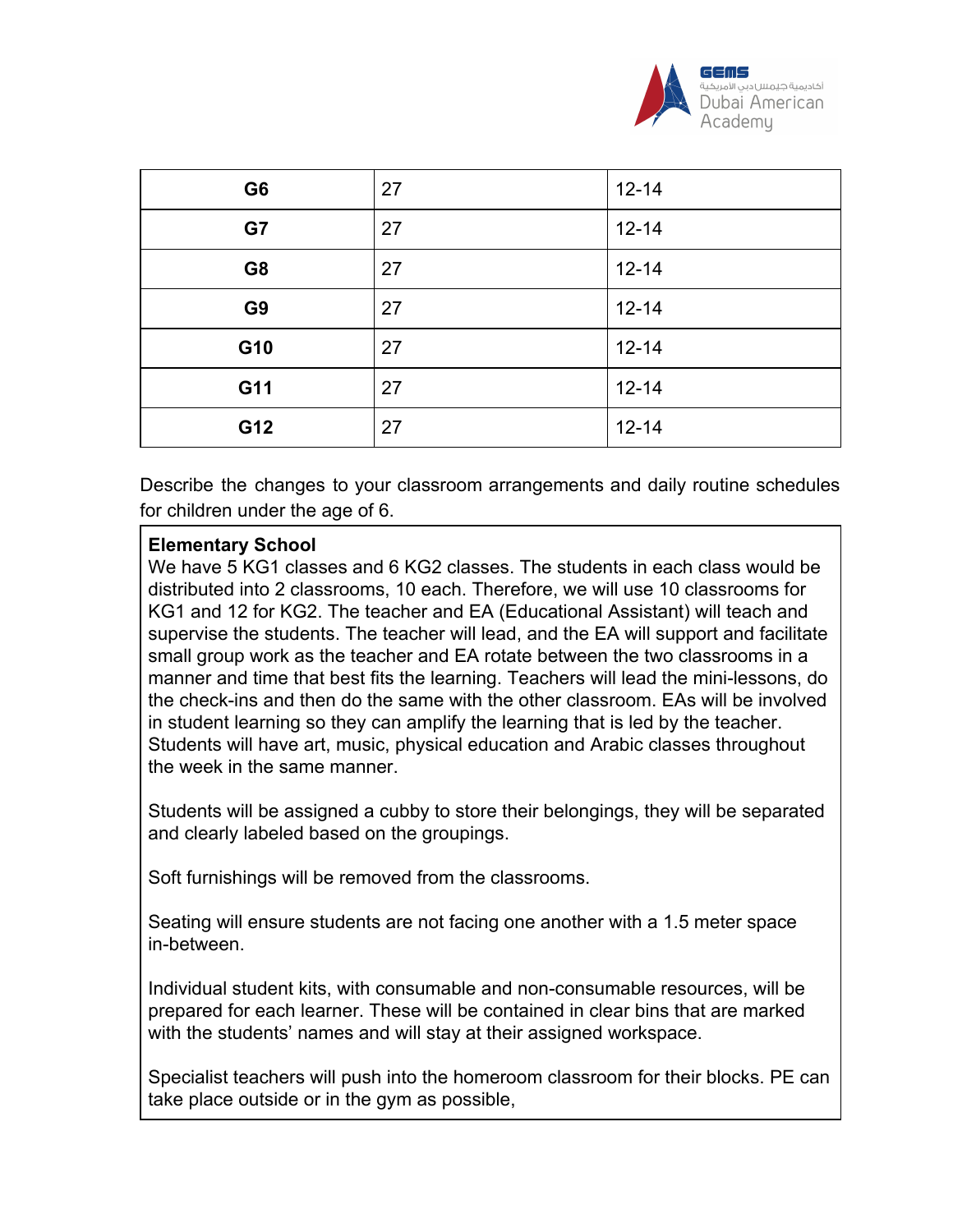

| G <sub>6</sub> | 27 | $12 - 14$ |
|----------------|----|-----------|
| G7             | 27 | $12 - 14$ |
| G <sub>8</sub> | 27 | $12 - 14$ |
| G <sub>9</sub> | 27 | $12 - 14$ |
| G10            | 27 | $12 - 14$ |
| G11            | 27 | $12 - 14$ |
| G12            | 27 | $12 - 14$ |

Describe the changes to your classroom arrangements and daily routine schedules for children under the age of 6.

# **Elementary School**

We have 5 KG1 classes and 6 KG2 classes. The students in each class would be distributed into 2 classrooms, 10 each. Therefore, we will use 10 classrooms for KG1 and 12 for KG2. The teacher and EA (Educational Assistant) will teach and supervise the students. The teacher will lead, and the EA will support and facilitate small group work as the teacher and EA rotate between the two classrooms in a manner and time that best fits the learning. Teachers will lead the mini-lessons, do the check-ins and then do the same with the other classroom. EAs will be involved in student learning so they can amplify the learning that is led by the teacher. Students will have art, music, physical education and Arabic classes throughout the week in the same manner.

Students will be assigned a cubby to store their belongings, they will be separated and clearly labeled based on the groupings.

Soft furnishings will be removed from the classrooms.

Seating will ensure students are not facing one another with a 1.5 meter space in-between.

Individual student kits, with consumable and non-consumable resources, will be prepared for each learner. These will be contained in clear bins that are marked with the students' names and will stay at their assigned workspace.

Specialist teachers will push into the homeroom classroom for their blocks. PE can take place outside or in the gym as possible,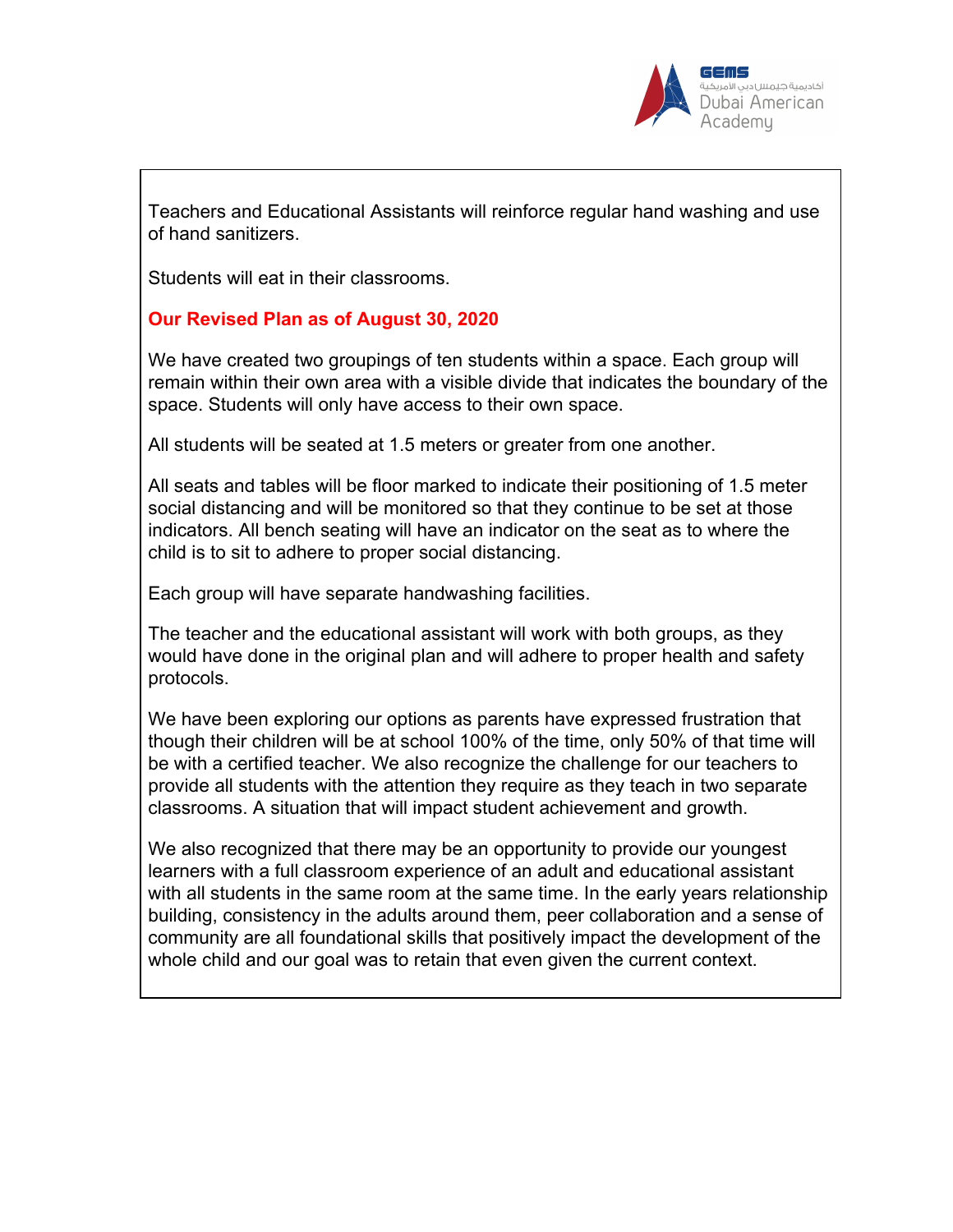

Teachers and Educational Assistants will reinforce regular hand washing and use of hand sanitizers.

Students will eat in their classrooms.

## **Our Revised Plan as of August 30, 2020**

We have created two groupings of ten students within a space. Each group will remain within their own area with a visible divide that indicates the boundary of the space. Students will only have access to their own space.

All students will be seated at 1.5 meters or greater from one another.

All seats and tables will be floor marked to indicate their positioning of 1.5 meter social distancing and will be monitored so that they continue to be set at those indicators. All bench seating will have an indicator on the seat as to where the child is to sit to adhere to proper social distancing.

Each group will have separate handwashing facilities.

The teacher and the educational assistant will work with both groups, as they would have done in the original plan and will adhere to proper health and safety protocols.

We have been exploring our options as parents have expressed frustration that though their children will be at school 100% of the time, only 50% of that time will be with a certified teacher. We also recognize the challenge for our teachers to provide all students with the attention they require as they teach in two separate classrooms. A situation that will impact student achievement and growth.

We also recognized that there may be an opportunity to provide our youngest learners with a full classroom experience of an adult and educational assistant with all students in the same room at the same time. In the early years relationship building, consistency in the adults around them, peer collaboration and a sense of community are all foundational skills that positively impact the development of the whole child and our goal was to retain that even given the current context.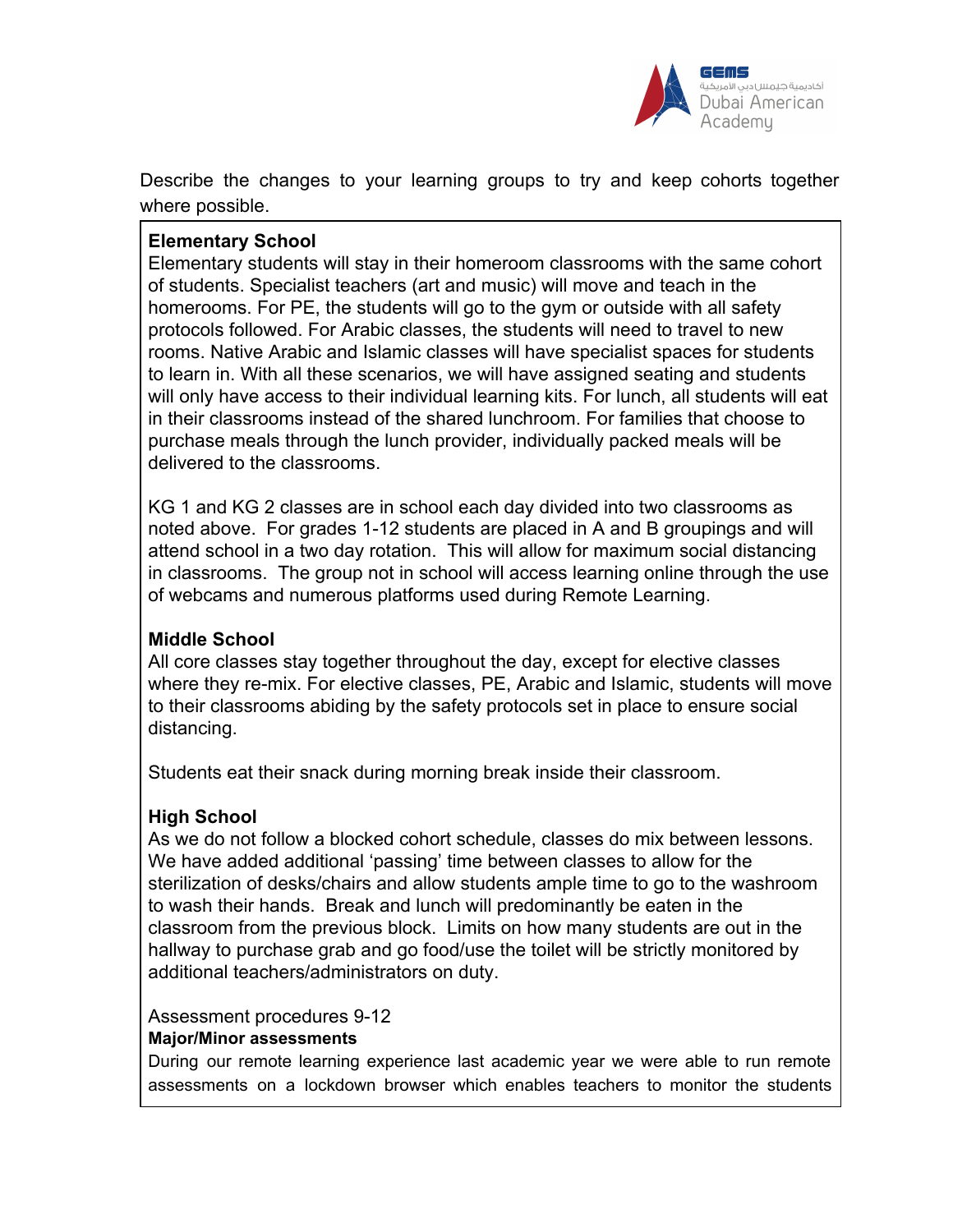

Describe the changes to your learning groups to try and keep cohorts together where possible.

# **Elementary School**

Elementary students will stay in their homeroom classrooms with the same cohort of students. Specialist teachers (art and music) will move and teach in the homerooms. For PE, the students will go to the gym or outside with all safety protocols followed. For Arabic classes, the students will need to travel to new rooms. Native Arabic and Islamic classes will have specialist spaces for students to learn in. With all these scenarios, we will have assigned seating and students will only have access to their individual learning kits. For lunch, all students will eat in their classrooms instead of the shared lunchroom. For families that choose to purchase meals through the lunch provider, individually packed meals will be delivered to the classrooms.

KG 1 and KG 2 classes are in school each day divided into two classrooms as noted above. For grades 1-12 students are placed in A and B groupings and will attend school in a two day rotation. This will allow for maximum social distancing in classrooms. The group not in school will access learning online through the use of webcams and numerous platforms used during Remote Learning.

# **Middle School**

All core classes stay together throughout the day, except for elective classes where they re-mix. For elective classes, PE, Arabic and Islamic, students will move to their classrooms abiding by the safety protocols set in place to ensure social distancing.

Students eat their snack during morning break inside their classroom.

# **High School**

As we do not follow a blocked cohort schedule, classes do mix between lessons. We have added additional 'passing' time between classes to allow for the sterilization of desks/chairs and allow students ample time to go to the washroom to wash their hands. Break and lunch will predominantly be eaten in the classroom from the previous block. Limits on how many students are out in the hallway to purchase grab and go food/use the toilet will be strictly monitored by additional teachers/administrators on duty.

# Assessment procedures 9-12 **Major/Minor assessments**

During our remote learning experience last academic year we were able to run remote assessments on a lockdown browser which enables teachers to monitor the students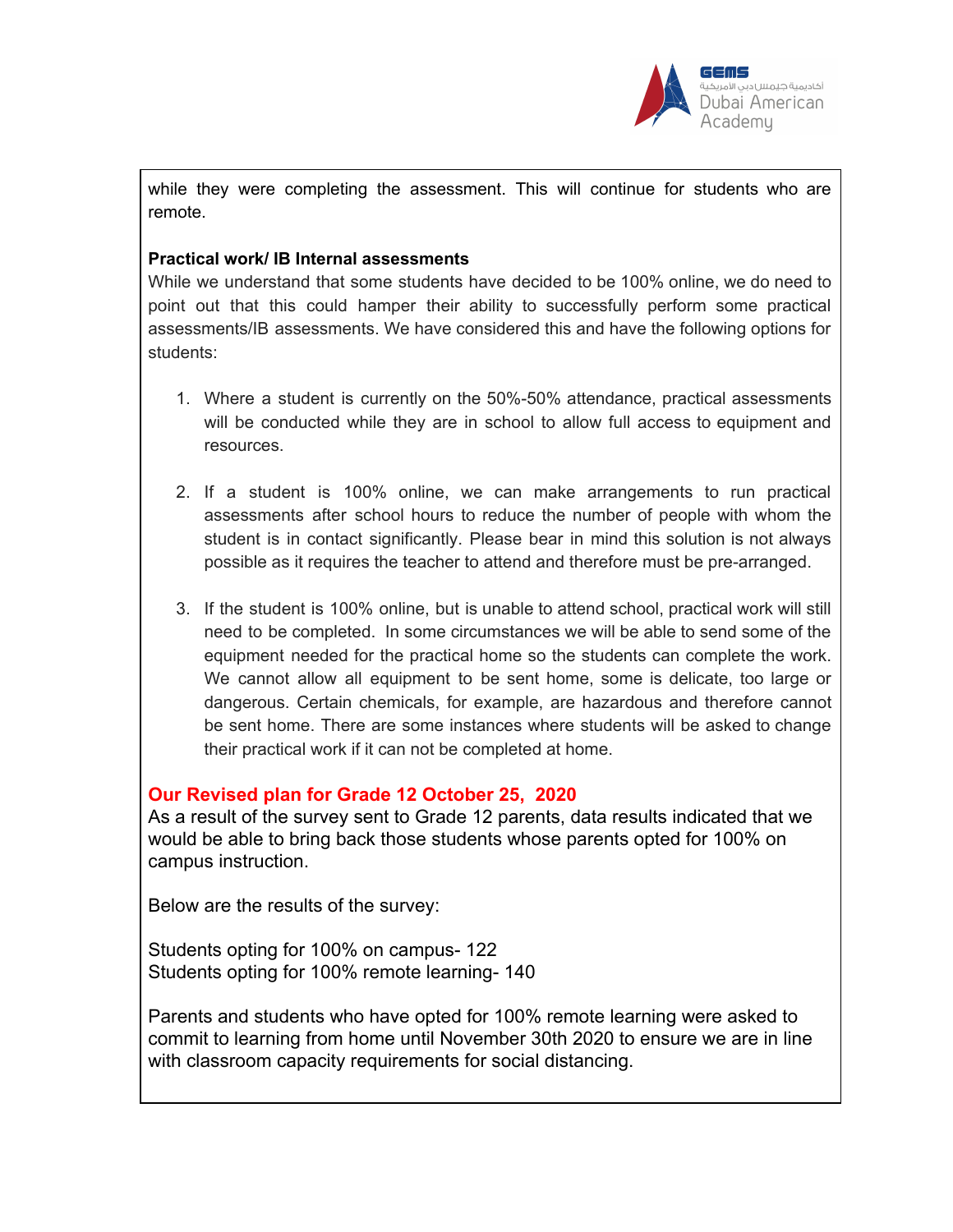

while they were completing the assessment. This will continue for students who are remote.

#### **Practical work/ IB Internal assessments**

While we understand that some students have decided to be 100% online, we do need to point out that this could hamper their ability to successfully perform some practical assessments/IB assessments. We have considered this and have the following options for students:

- 1. Where a student is currently on the 50%-50% attendance, practical assessments will be conducted while they are in school to allow full access to equipment and resources.
- 2. If a student is 100% online, we can make arrangements to run practical assessments after school hours to reduce the number of people with whom the student is in contact significantly. Please bear in mind this solution is not always possible as it requires the teacher to attend and therefore must be pre-arranged.
- 3. If the student is 100% online, but is unable to attend school, practical work will still need to be completed. In some circumstances we will be able to send some of the equipment needed for the practical home so the students can complete the work. We cannot allow all equipment to be sent home, some is delicate, too large or dangerous. Certain chemicals, for example, are hazardous and therefore cannot be sent home. There are some instances where students will be asked to change their practical work if it can not be completed at home.

#### **Our Revised plan for Grade 12 October 25, 2020**

As a result of the survey sent to Grade 12 parents, data results indicated that we would be able to bring back those students whose parents opted for 100% on campus instruction.

Below are the results of the survey:

Students opting for 100% on campus- 122 Students opting for 100% remote learning- 140

Parents and students who have opted for 100% remote learning were asked to commit to learning from home until November 30th 2020 to ensure we are in line with classroom capacity requirements for social distancing.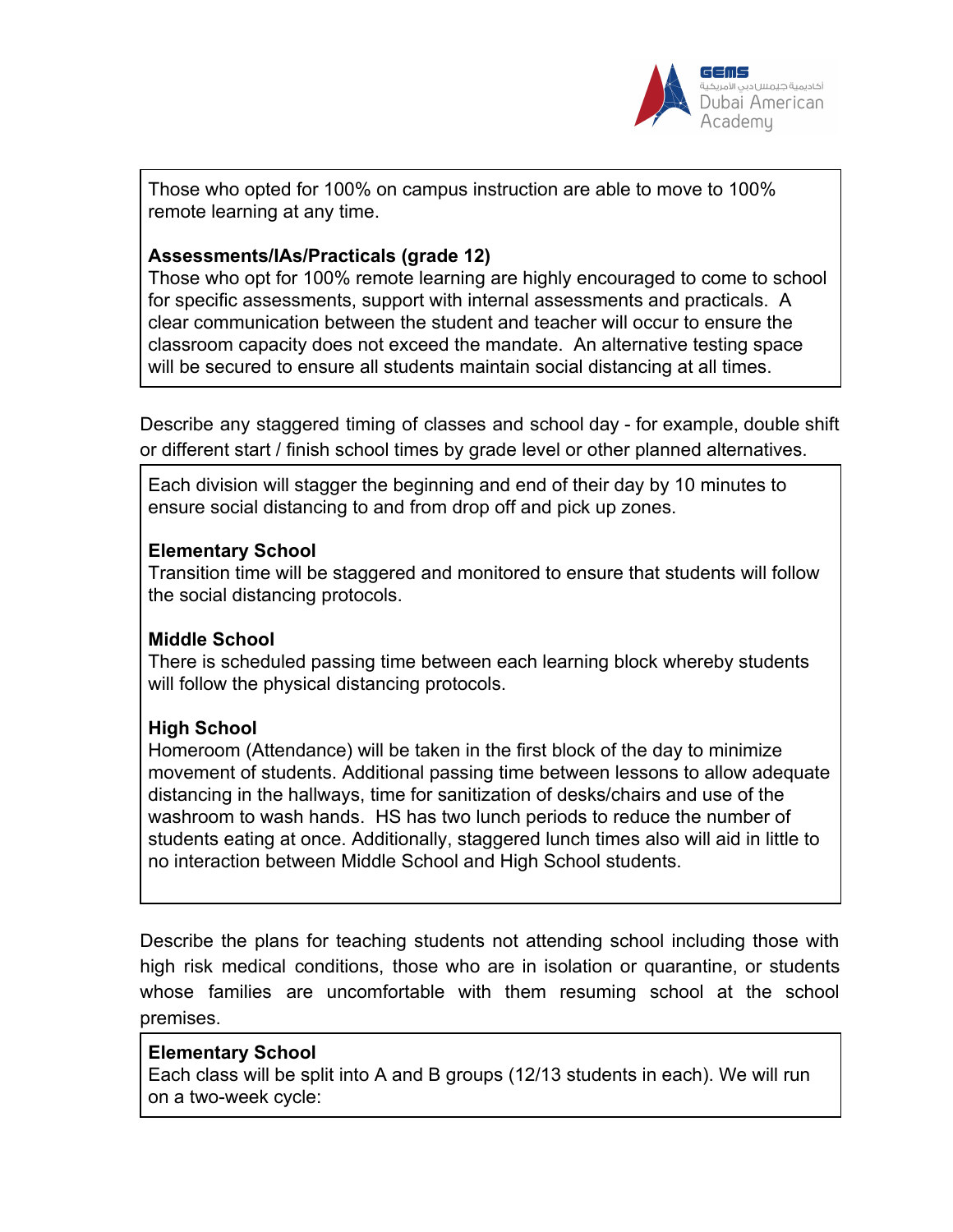

Those who opted for 100% on campus instruction are able to move to 100% remote learning at any time.

## **Assessments/IAs/Practicals (grade 12)**

Those who opt for 100% remote learning are highly encouraged to come to school for specific assessments, support with internal assessments and practicals. A clear communication between the student and teacher will occur to ensure the classroom capacity does not exceed the mandate. An alternative testing space will be secured to ensure all students maintain social distancing at all times.

Describe any staggered timing of classes and school day - for example, double shift or different start / finish school times by grade level or other planned alternatives.

Each division will stagger the beginning and end of their day by 10 minutes to ensure social distancing to and from drop off and pick up zones.

## **Elementary School**

Transition time will be staggered and monitored to ensure that students will follow the social distancing protocols.

# **Middle School**

There is scheduled passing time between each learning block whereby students will follow the physical distancing protocols.

# **High School**

Homeroom (Attendance) will be taken in the first block of the day to minimize movement of students. Additional passing time between lessons to allow adequate distancing in the hallways, time for sanitization of desks/chairs and use of the washroom to wash hands. HS has two lunch periods to reduce the number of students eating at once. Additionally, staggered lunch times also will aid in little to no interaction between Middle School and High School students.

Describe the plans for teaching students not attending school including those with high risk medical conditions, those who are in isolation or quarantine, or students whose families are uncomfortable with them resuming school at the school premises.

#### **Elementary School**

Each class will be split into A and B groups (12/13 students in each). We will run on a two-week cycle: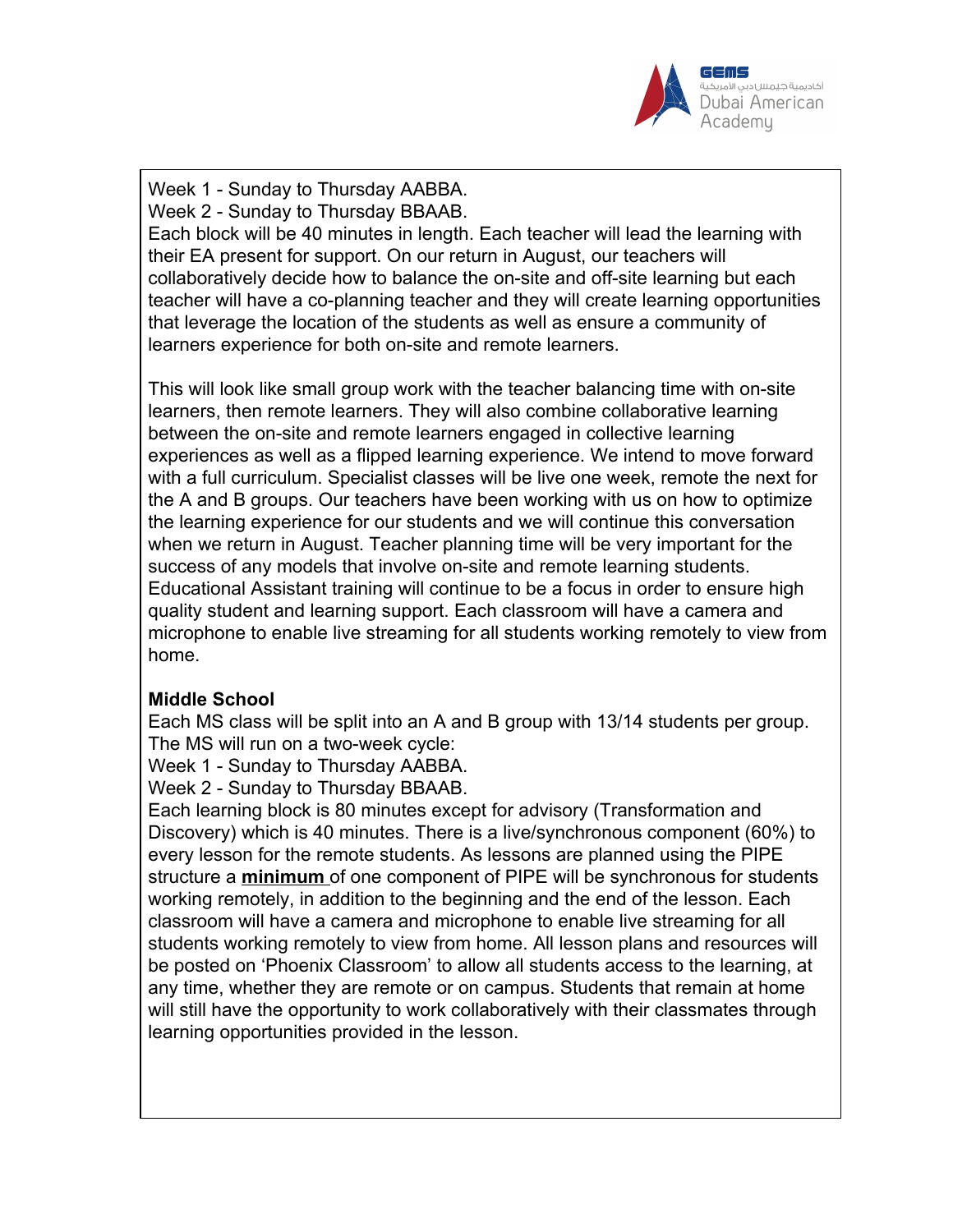

Week 1 - Sunday to Thursday AABBA.

Week 2 - Sunday to Thursday BBAAB.

Each block will be 40 minutes in length. Each teacher will lead the learning with their EA present for support. On our return in August, our teachers will collaboratively decide how to balance the on-site and off-site learning but each teacher will have a co-planning teacher and they will create learning opportunities that leverage the location of the students as well as ensure a community of learners experience for both on-site and remote learners.

This will look like small group work with the teacher balancing time with on-site learners, then remote learners. They will also combine collaborative learning between the on-site and remote learners engaged in collective learning experiences as well as a flipped learning experience. We intend to move forward with a full curriculum. Specialist classes will be live one week, remote the next for the A and B groups. Our teachers have been working with us on how to optimize the learning experience for our students and we will continue this conversation when we return in August. Teacher planning time will be very important for the success of any models that involve on-site and remote learning students. Educational Assistant training will continue to be a focus in order to ensure high quality student and learning support. Each classroom will have a camera and microphone to enable live streaming for all students working remotely to view from home.

# **Middle School**

Each MS class will be split into an A and B group with 13/14 students per group. The MS will run on a two-week cycle:

Week 1 - Sunday to Thursday AABBA.

Week 2 - Sunday to Thursday BBAAB.

Each learning block is 80 minutes except for advisory (Transformation and Discovery) which is 40 minutes. There is a live/synchronous component (60%) to every lesson for the remote students. As lessons are planned using the PIPE structure a **minimum** of one component of PIPE will be synchronous for students working remotely, in addition to the beginning and the end of the lesson. Each classroom will have a camera and microphone to enable live streaming for all students working remotely to view from home. All lesson plans and resources will be posted on 'Phoenix Classroom' to allow all students access to the learning, at any time, whether they are remote or on campus. Students that remain at home will still have the opportunity to work collaboratively with their classmates through learning opportunities provided in the lesson.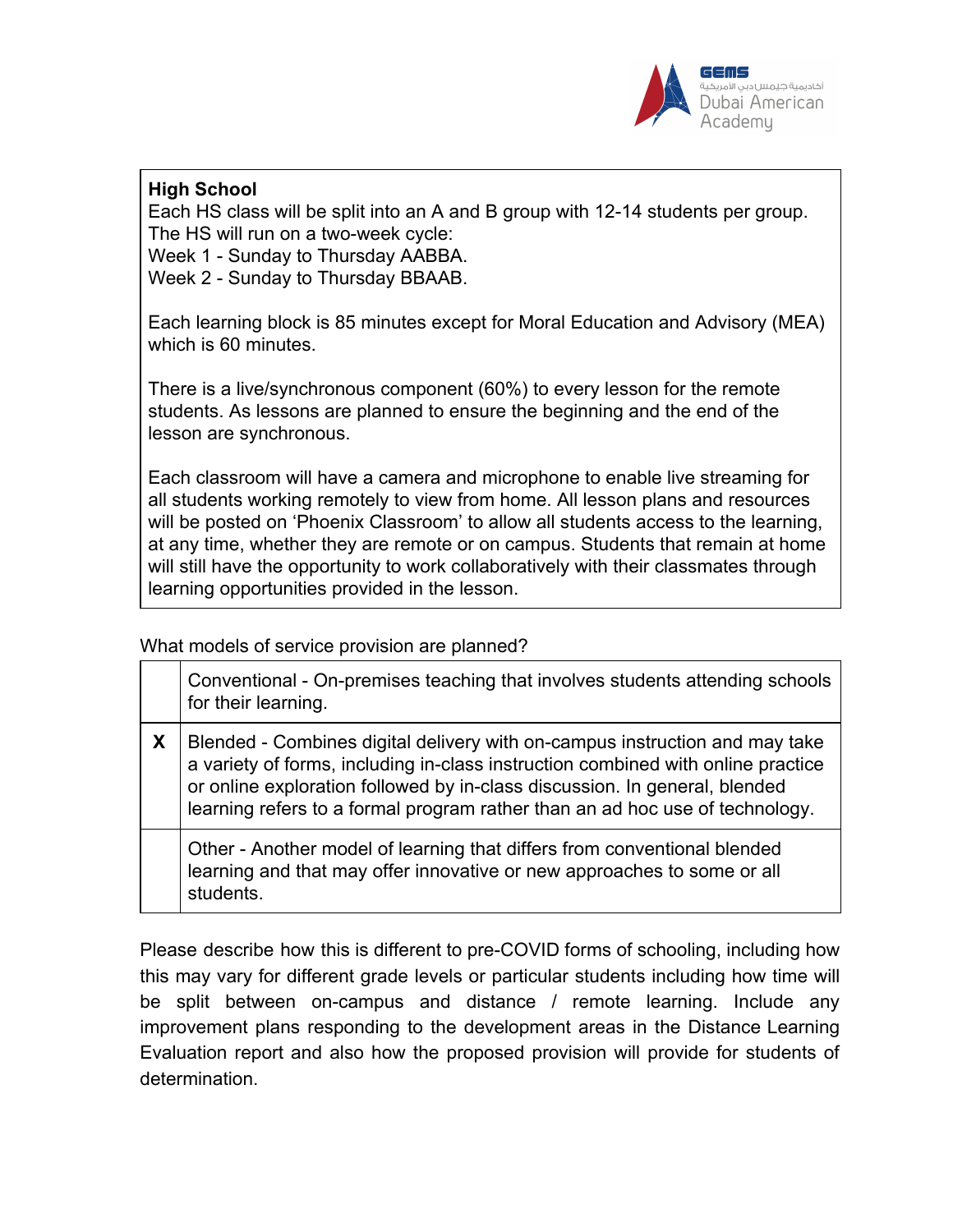

# **High School**

Each HS class will be split into an A and B group with 12-14 students per group. The HS will run on a two-week cycle: Week 1 - Sunday to Thursday AABBA.

Week 2 - Sunday to Thursday BBAAB.

Each learning block is 85 minutes except for Moral Education and Advisory (MEA) which is 60 minutes.

There is a live/synchronous component (60%) to every lesson for the remote students. As lessons are planned to ensure the beginning and the end of the lesson are synchronous.

Each classroom will have a camera and microphone to enable live streaming for all students working remotely to view from home. All lesson plans and resources will be posted on 'Phoenix Classroom' to allow all students access to the learning, at any time, whether they are remote or on campus. Students that remain at home will still have the opportunity to work collaboratively with their classmates through learning opportunities provided in the lesson.

What models of service provision are planned?

|                           | Conventional - On-premises teaching that involves students attending schools<br>for their learning.                                                                                                                                                                                                                           |
|---------------------------|-------------------------------------------------------------------------------------------------------------------------------------------------------------------------------------------------------------------------------------------------------------------------------------------------------------------------------|
| $\boldsymbol{\mathsf{X}}$ | Blended - Combines digital delivery with on-campus instruction and may take<br>a variety of forms, including in-class instruction combined with online practice<br>or online exploration followed by in-class discussion. In general, blended<br>learning refers to a formal program rather than an ad hoc use of technology. |
|                           | Other - Another model of learning that differs from conventional blended<br>learning and that may offer innovative or new approaches to some or all<br>students.                                                                                                                                                              |

Please describe how this is different to pre-COVID forms of schooling, including how this may vary for different grade levels or particular students including how time will be split between on-campus and distance / remote learning. Include any improvement plans responding to the development areas in the Distance Learning Evaluation report and also how the proposed provision will provide for students of determination.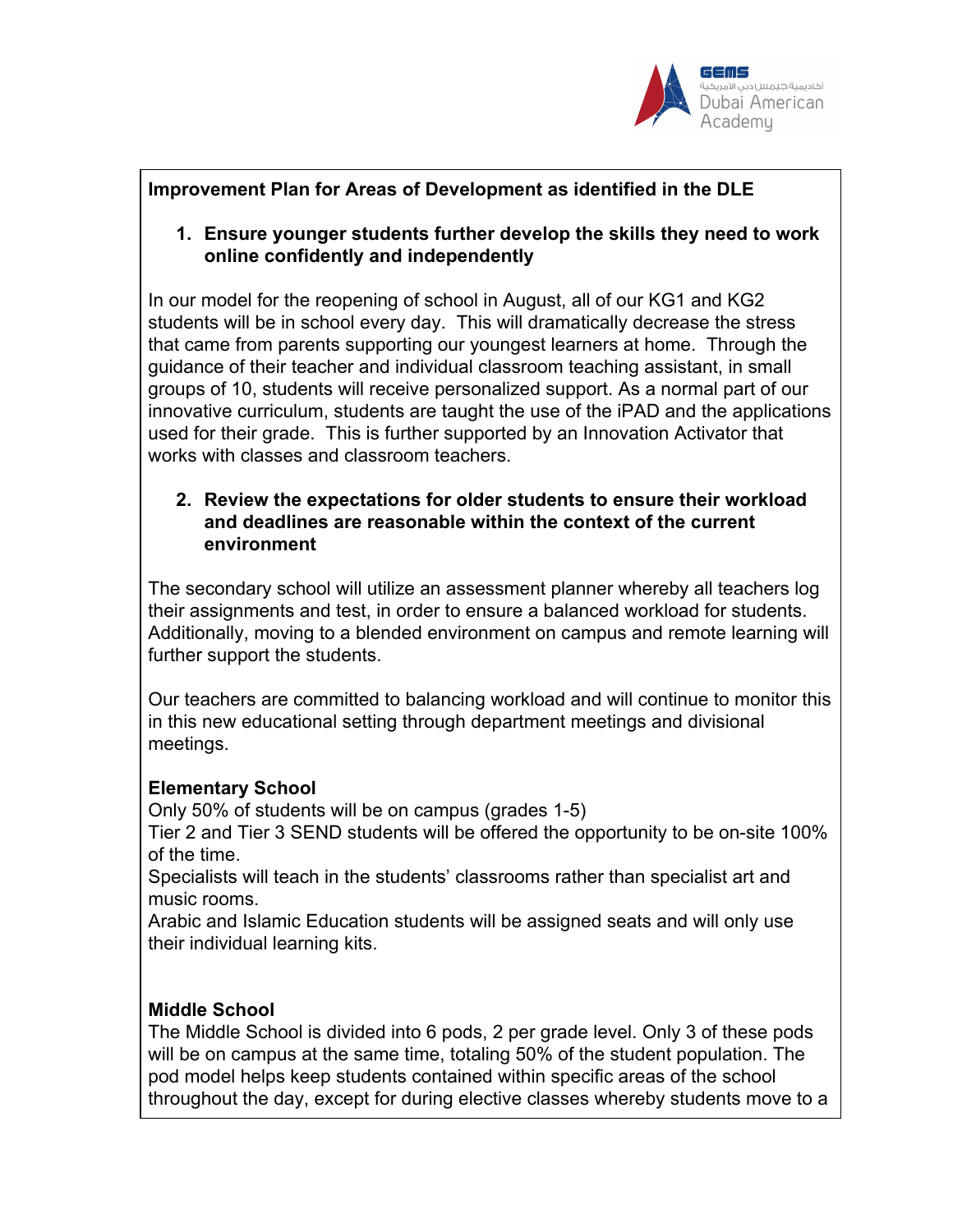

# **Improvement Plan for Areas of Development as identified in the DLE**

## **1. Ensure younger students further develop the skills they need to work online confidently and independently**

In our model for the reopening of school in August, all of our KG1 and KG2 students will be in school every day. This will dramatically decrease the stress that came from parents supporting our youngest learners at home. Through the guidance of their teacher and individual classroom teaching assistant, in small groups of 10, students will receive personalized support. As a normal part of our innovative curriculum, students are taught the use of the iPAD and the applications used for their grade. This is further supported by an Innovation Activator that works with classes and classroom teachers.

## **2. Review the expectations for older students to ensure their workload and deadlines are reasonable within the context of the current environment**

The secondary school will utilize an assessment planner whereby all teachers log their assignments and test, in order to ensure a balanced workload for students. Additionally, moving to a blended environment on campus and remote learning will further support the students.

Our teachers are committed to balancing workload and will continue to monitor this in this new educational setting through department meetings and divisional meetings.

# **Elementary School**

Only 50% of students will be on campus (grades 1-5)

Tier 2 and Tier 3 SEND students will be offered the opportunity to be on-site 100% of the time.

Specialists will teach in the students' classrooms rather than specialist art and music rooms.

Arabic and Islamic Education students will be assigned seats and will only use their individual learning kits.

# **Middle School**

The Middle School is divided into 6 pods, 2 per grade level. Only 3 of these pods will be on campus at the same time, totaling 50% of the student population. The pod model helps keep students contained within specific areas of the school throughout the day, except for during elective classes whereby students move to a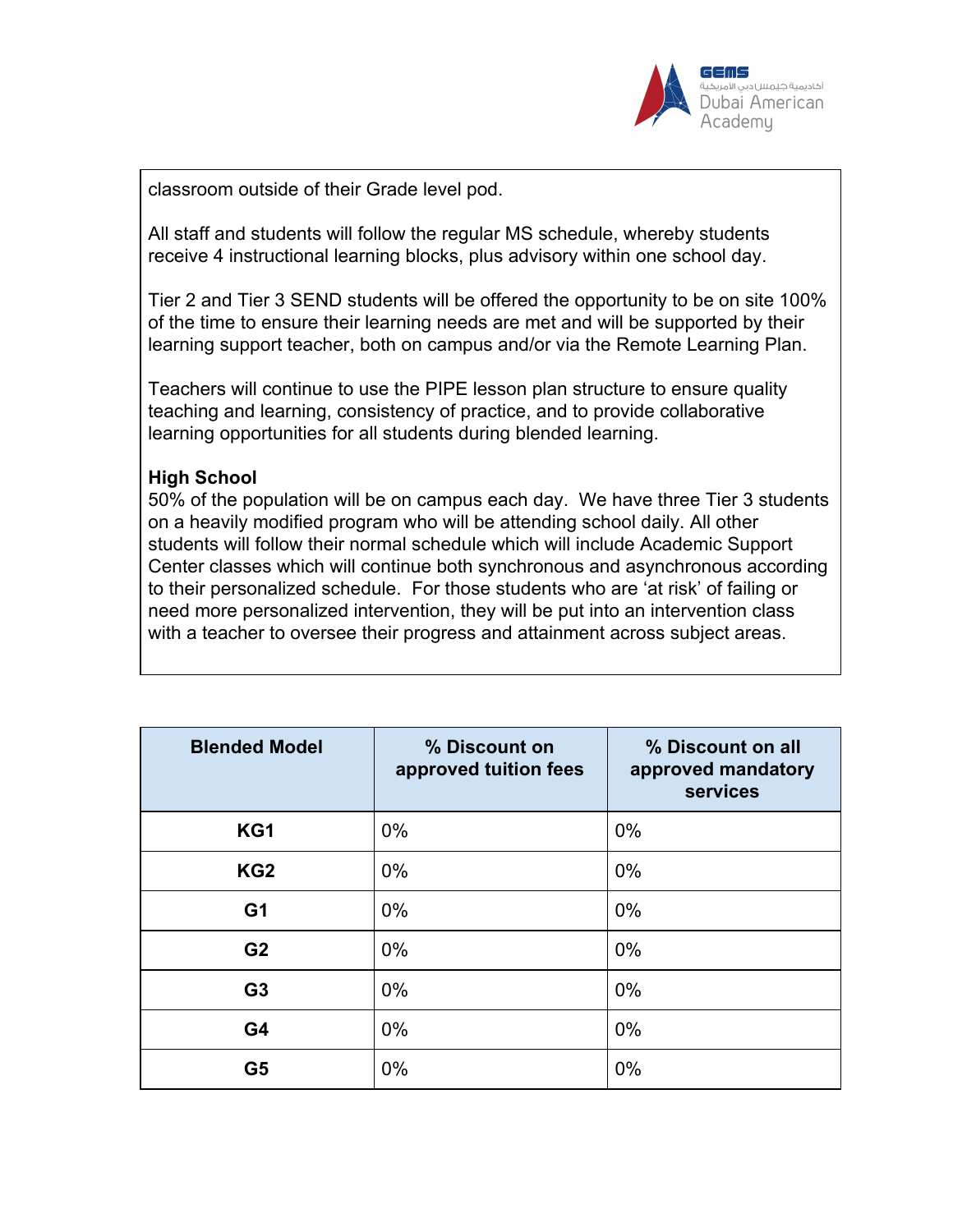

classroom outside of their Grade level pod.

All staff and students will follow the regular MS schedule, whereby students receive 4 instructional learning blocks, plus advisory within one school day.

Tier 2 and Tier 3 SEND students will be offered the opportunity to be on site 100% of the time to ensure their learning needs are met and will be supported by their learning support teacher, both on campus and/or via the Remote Learning Plan.

Teachers will continue to use the PIPE lesson plan structure to ensure quality teaching and learning, consistency of practice, and to provide collaborative learning opportunities for all students during blended learning.

## **High School**

50% of the population will be on campus each day. We have three Tier 3 students on a heavily modified program who will be attending school daily. All other students will follow their normal schedule which will include Academic Support Center classes which will continue both synchronous and asynchronous according to their personalized schedule. For those students who are 'at risk' of failing or need more personalized intervention, they will be put into an intervention class with a teacher to oversee their progress and attainment across subject areas.

| <b>Blended Model</b> | % Discount on<br>approved tuition fees | % Discount on all<br>approved mandatory<br>services |
|----------------------|----------------------------------------|-----------------------------------------------------|
| KG1                  | $0\%$                                  | $0\%$                                               |
| KG <sub>2</sub>      | $0\%$                                  | $0\%$                                               |
| G <sub>1</sub>       | $0\%$                                  | $0\%$                                               |
| G <sub>2</sub>       | $0\%$                                  | $0\%$                                               |
| G <sub>3</sub>       | $0\%$                                  | $0\%$                                               |
| G <sub>4</sub>       | $0\%$                                  | 0%                                                  |
| G <sub>5</sub>       | 0%                                     | 0%                                                  |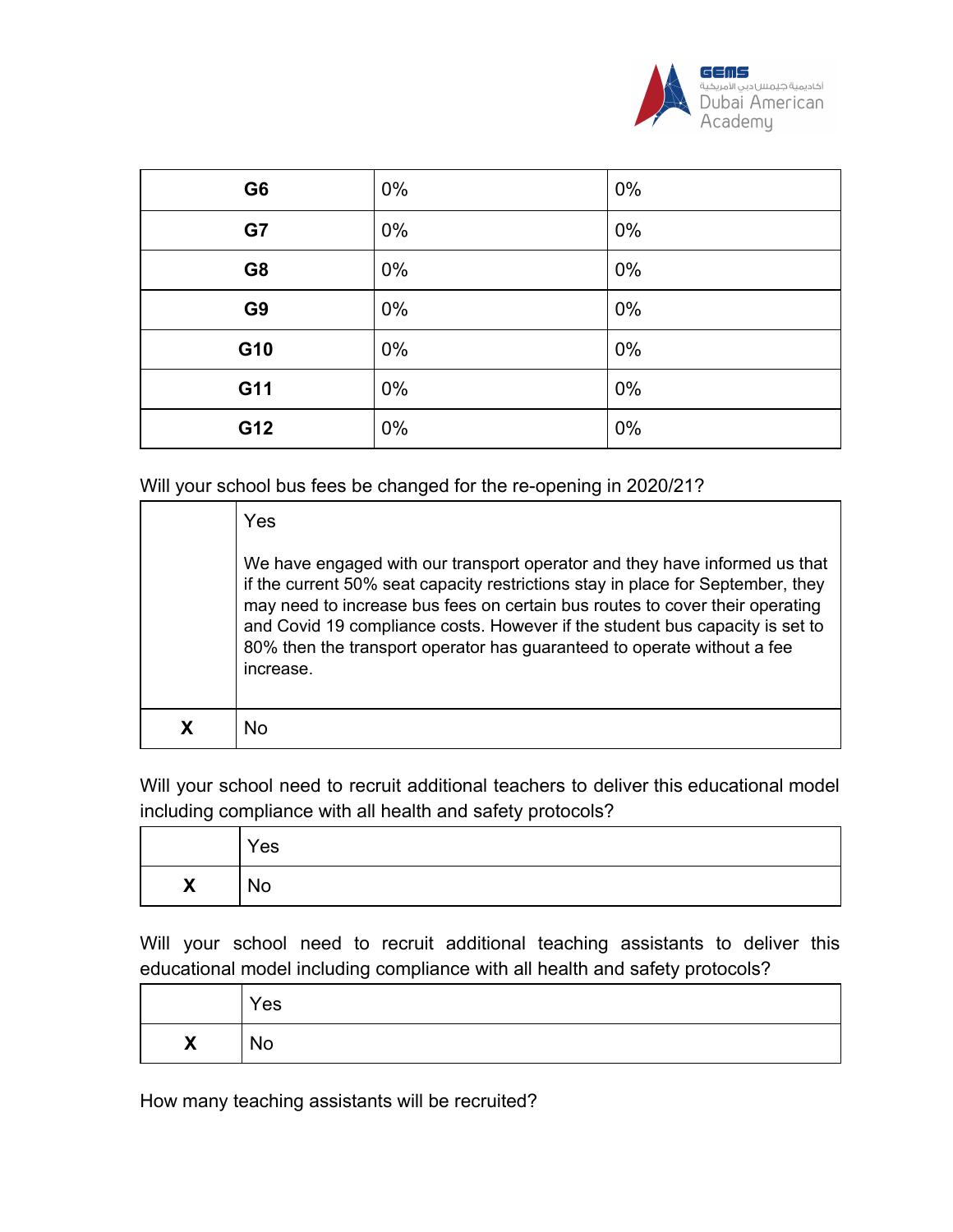

| G <sub>6</sub> | $0\%$ | $0\%$ |
|----------------|-------|-------|
| G7             | $0\%$ | 0%    |
| G <sub>8</sub> | $0\%$ | 0%    |
| G <sub>9</sub> | 0%    | $0\%$ |
| G10            | $0\%$ | $0\%$ |
| G11            | $0\%$ | $0\%$ |
| G12            | $0\%$ | 0%    |

Will your school bus fees be changed for the re-opening in 2020/21?

| Yes                                                                                                                                                                                                                                                                                                                                                                                                                   |
|-----------------------------------------------------------------------------------------------------------------------------------------------------------------------------------------------------------------------------------------------------------------------------------------------------------------------------------------------------------------------------------------------------------------------|
| We have engaged with our transport operator and they have informed us that<br>if the current 50% seat capacity restrictions stay in place for September, they<br>may need to increase bus fees on certain bus routes to cover their operating<br>and Covid 19 compliance costs. However if the student bus capacity is set to<br>80% then the transport operator has guaranteed to operate without a fee<br>increase. |
| <b>No</b>                                                                                                                                                                                                                                                                                                                                                                                                             |

Will your school need to recruit additional teachers to deliver this educational model including compliance with all health and safety protocols?

|                                          | Yes       |
|------------------------------------------|-----------|
| $\mathbf v$<br>$\boldsymbol{\mathsf{A}}$ | <b>No</b> |

Will your school need to recruit additional teaching assistants to deliver this educational model including compliance with all health and safety protocols?

|                   | Yes       |
|-------------------|-----------|
| $\checkmark$<br>Λ | <b>No</b> |

How many teaching assistants will be recruited?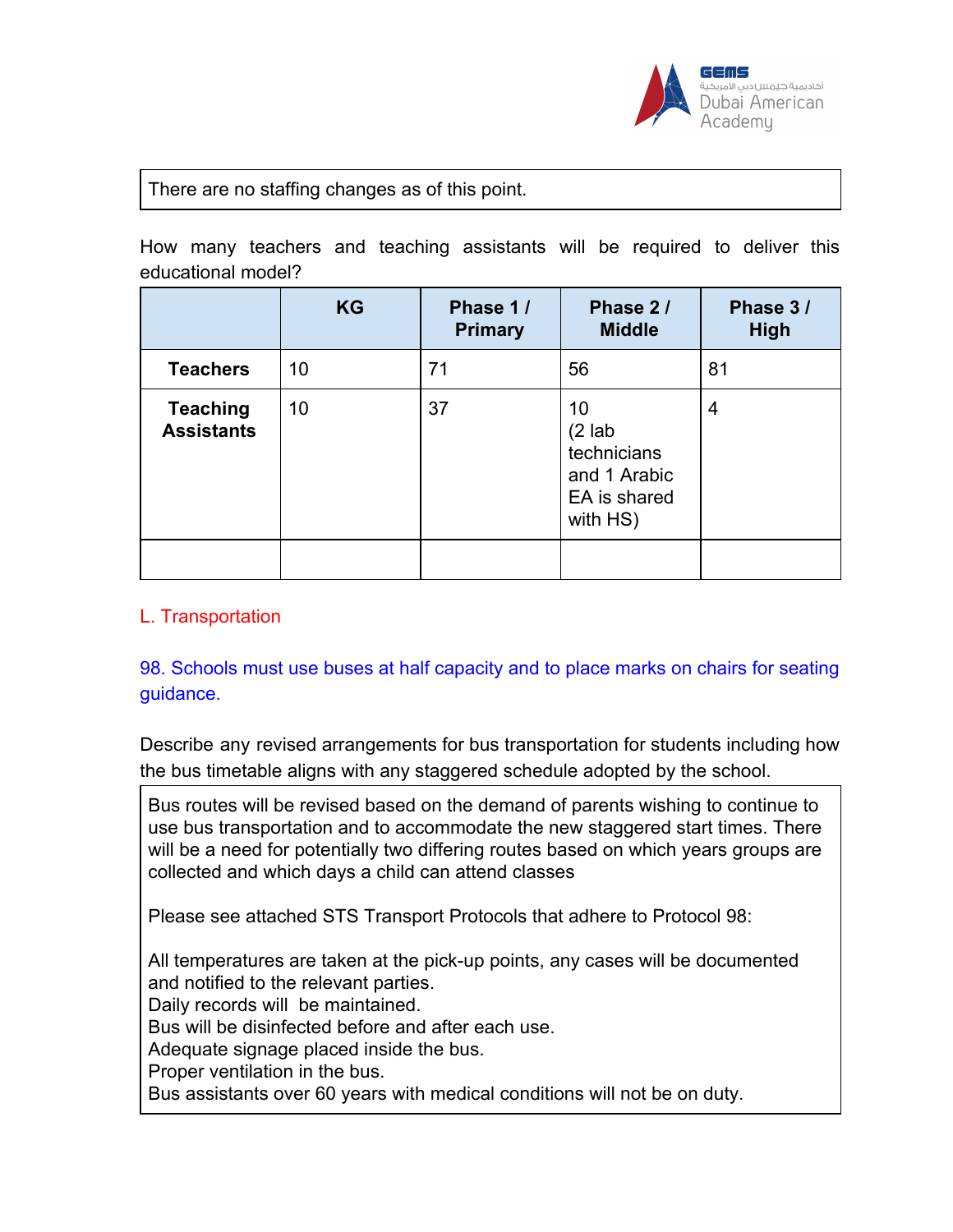

#### There are no staffing changes as of this point.

How many teachers and teaching assistants will be required to deliver this educational model?

|                                      | <b>KG</b> | Phase 1/<br><b>Primary</b> | Phase 2/<br><b>Middle</b>                                                 | Phase 3/<br><b>High</b> |
|--------------------------------------|-----------|----------------------------|---------------------------------------------------------------------------|-------------------------|
| <b>Teachers</b>                      | 10        | 71                         | 56                                                                        | 81                      |
| <b>Teaching</b><br><b>Assistants</b> | 10        | 37                         | 10<br>$(2$ lab<br>technicians<br>and 1 Arabic<br>EA is shared<br>with HS) | 4                       |

#### L. Transportation

98. Schools must use buses at half capacity and to place marks on chairs for seating guidance.

Describe any revised arrangements for bus transportation for students including how the bus timetable aligns with any staggered schedule adopted by the school.

Bus routes will be revised based on the demand of parents wishing to continue to use bus transportation and to accommodate the new staggered start times. There will be a need for potentially two differing routes based on which years groups are collected and which days a child can attend classes

Please see attached STS Transport Protocols that adhere to Protocol 98:

All temperatures are taken at the pick-up points, any cases will be documented and notified to the relevant parties. Daily records will be maintained.

Bus will be disinfected before and after each use.

Adequate signage placed inside the bus.

Proper ventilation in the bus.

Bus assistants over 60 years with medical conditions will not be on duty.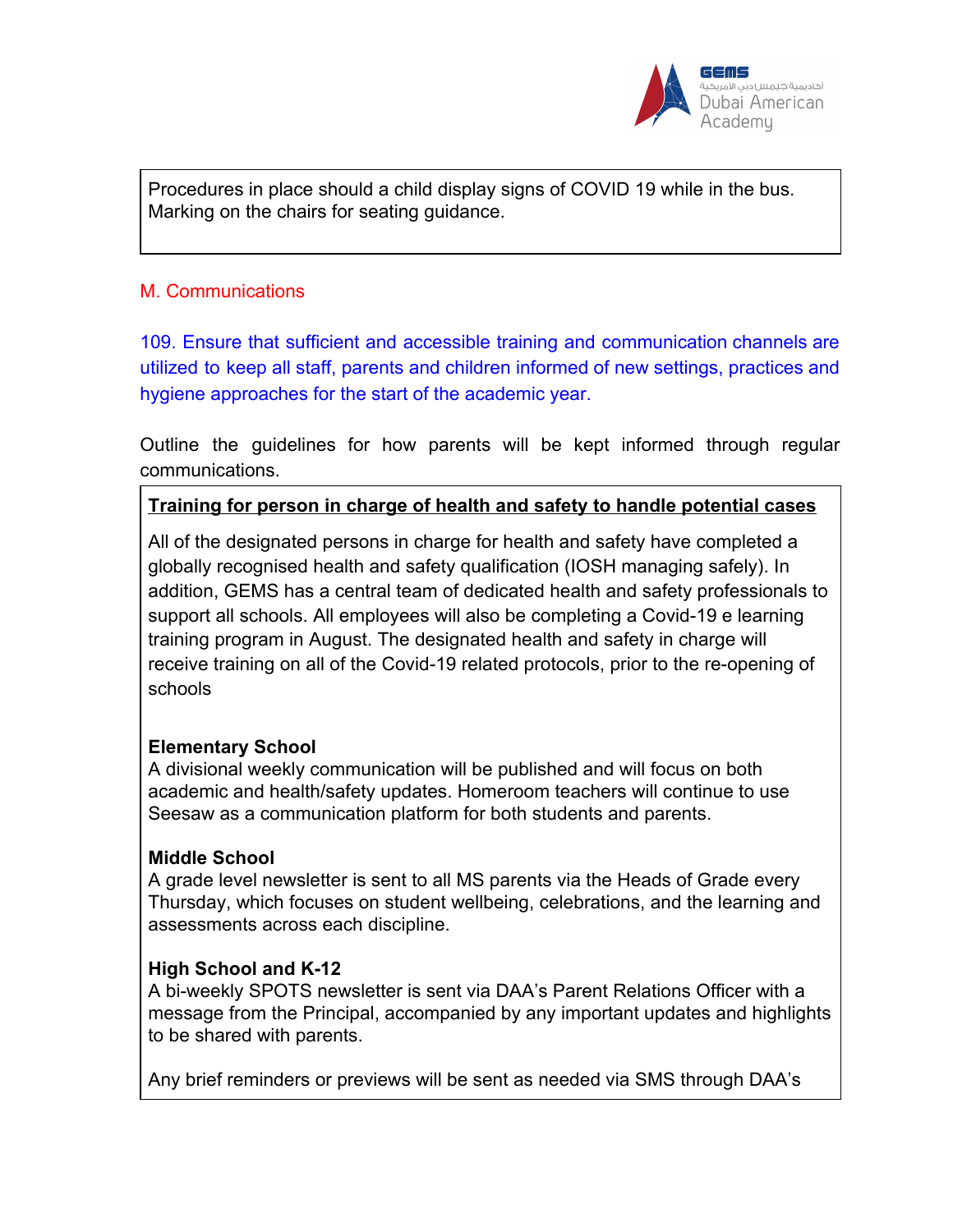

Procedures in place should a child display signs of COVID 19 while in the bus. Marking on the chairs for seating guidance.

## M. Communications

109. Ensure that sufficient and accessible training and communication channels are utilized to keep all staff, parents and children informed of new settings, practices and hygiene approaches for the start of the academic year.

Outline the guidelines for how parents will be kept informed through regular communications.

## **Training for person in charge of health and safety to handle potential cases**

All of the designated persons in charge for health and safety have completed a globally recognised health and safety qualification (IOSH managing safely). In addition, GEMS has a central team of dedicated health and safety professionals to support all schools. All employees will also be completing a Covid-19 e learning training program in August. The designated health and safety in charge will receive training on all of the Covid-19 related protocols, prior to the re-opening of schools

#### **Elementary School**

A divisional weekly communication will be published and will focus on both academic and health/safety updates. Homeroom teachers will continue to use Seesaw as a communication platform for both students and parents.

#### **Middle School**

A grade level newsletter is sent to all MS parents via the Heads of Grade every Thursday, which focuses on student wellbeing, celebrations, and the learning and assessments across each discipline.

#### **High School and K-12**

A bi-weekly SPOTS newsletter is sent via DAA's Parent Relations Officer with a message from the Principal, accompanied by any important updates and highlights to be shared with parents.

Any brief reminders or previews will be sent as needed via SMS through DAA's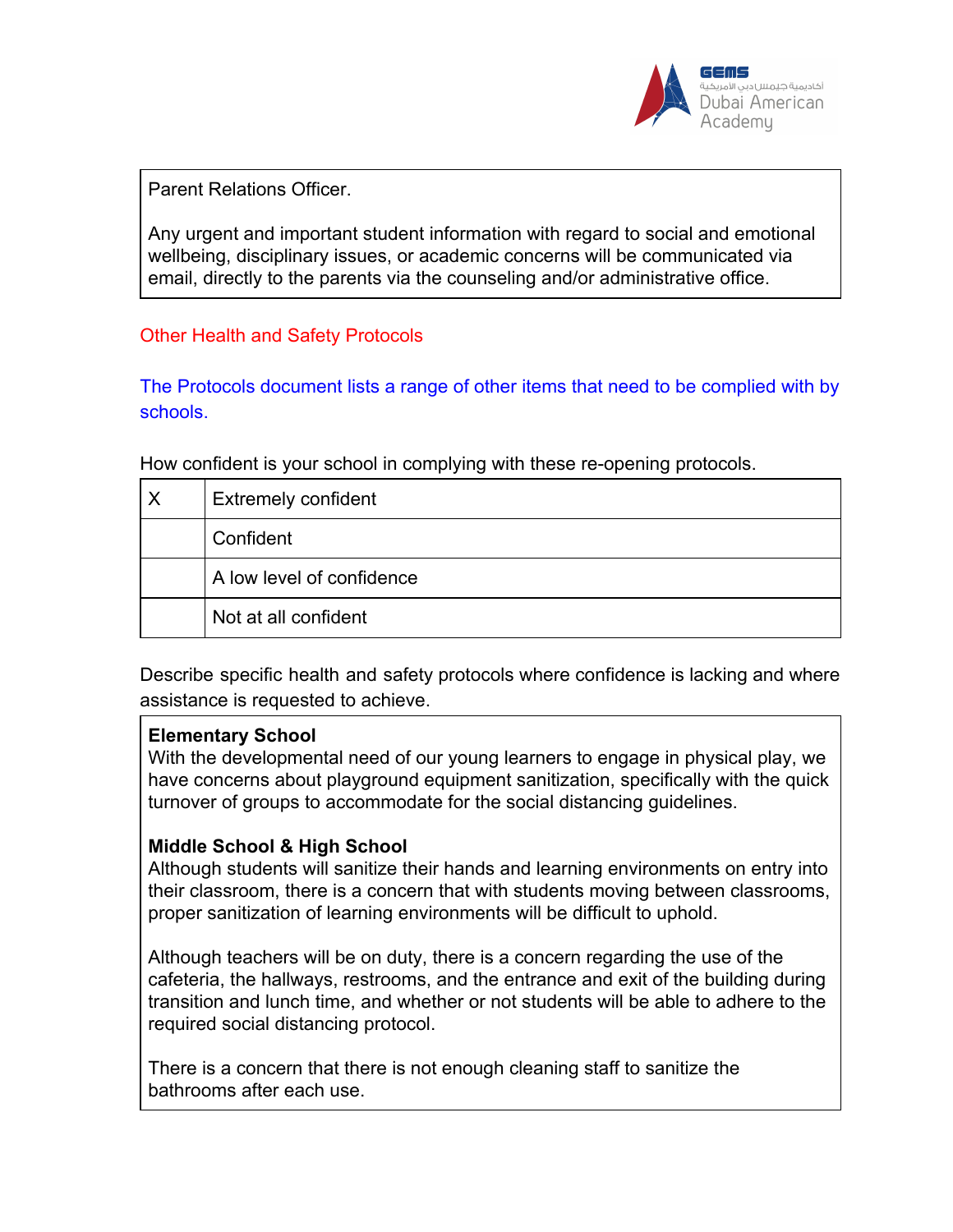

Parent Relations Officer.

Any urgent and important student information with regard to social and emotional wellbeing, disciplinary issues, or academic concerns will be communicated via email, directly to the parents via the counseling and/or administrative office.

## Other Health and Safety Protocols

The Protocols document lists a range of other items that need to be complied with by schools.

How confident is your school in complying with these re-opening protocols.

| $\boldsymbol{\mathsf{X}}$ | <b>Extremely confident</b> |
|---------------------------|----------------------------|
|                           | Confident                  |
|                           | A low level of confidence  |
|                           | Not at all confident       |

Describe specific health and safety protocols where confidence is lacking and where assistance is requested to achieve.

#### **Elementary School**

With the developmental need of our young learners to engage in physical play, we have concerns about playground equipment sanitization, specifically with the quick turnover of groups to accommodate for the social distancing guidelines.

#### **Middle School & High School**

Although students will sanitize their hands and learning environments on entry into their classroom, there is a concern that with students moving between classrooms, proper sanitization of learning environments will be difficult to uphold.

Although teachers will be on duty, there is a concern regarding the use of the cafeteria, the hallways, restrooms, and the entrance and exit of the building during transition and lunch time, and whether or not students will be able to adhere to the required social distancing protocol.

There is a concern that there is not enough cleaning staff to sanitize the bathrooms after each use.